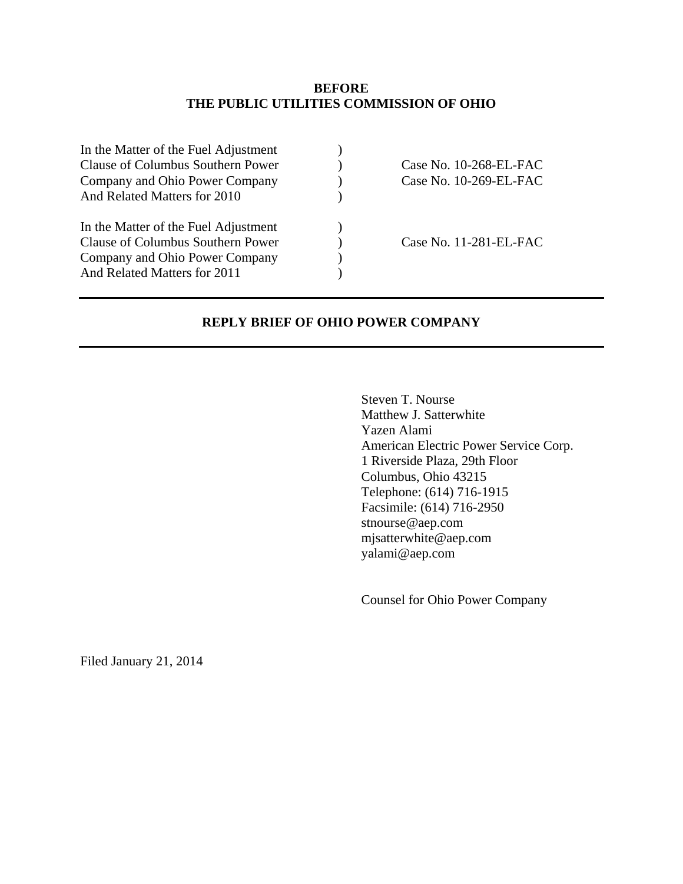#### **BEFORE THE PUBLIC UTILITIES COMMISSION OF OHIO**

| In the Matter of the Fuel Adjustment<br>Clause of Columbus Southern Power<br>Company and Ohio Power Company<br>And Related Matters for 2010 | Case No. 10-268-EL-FAC<br>Case No. 10-269-EL-FAC |
|---------------------------------------------------------------------------------------------------------------------------------------------|--------------------------------------------------|
| In the Matter of the Fuel Adjustment<br>Clause of Columbus Southern Power<br>Company and Ohio Power Company<br>And Related Matters for 2011 | Case No. 11-281-EL-FAC                           |

### **REPLY BRIEF OF OHIO POWER COMPANY**

Steven T. Nourse Matthew J. Satterwhite Yazen Alami American Electric Power Service Corp. 1 Riverside Plaza, 29th Floor Columbus, Ohio 43215 Telephone: (614) 716-1915 Facsimile: (614) 716-2950 stnourse@aep.com mjsatterwhite@aep.com yalami@aep.com

Counsel for Ohio Power Company

Filed January 21, 2014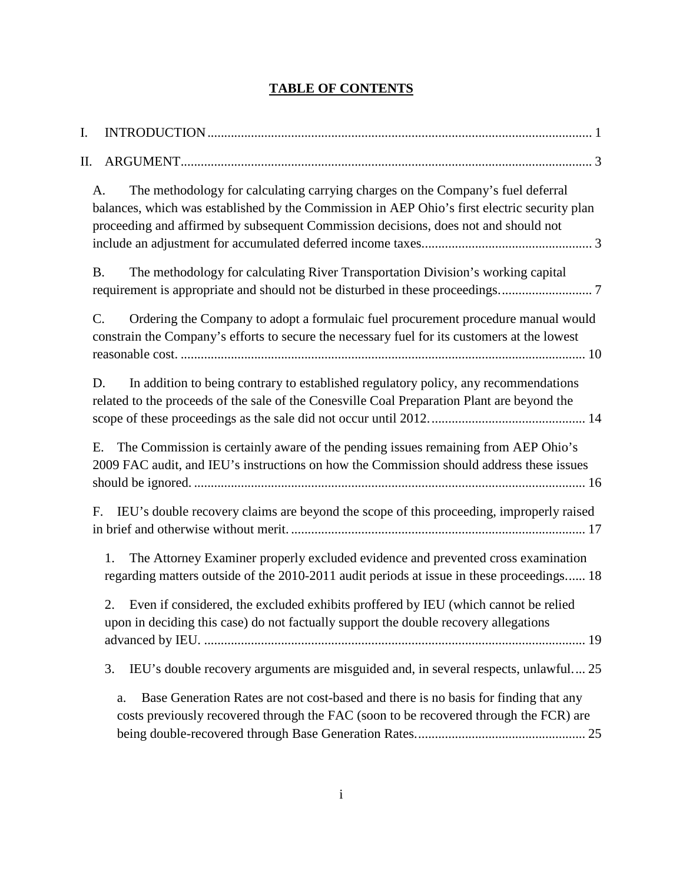# **TABLE OF CONTENTS**

| I. |                                                                                                                                                                                                                                                                              |
|----|------------------------------------------------------------------------------------------------------------------------------------------------------------------------------------------------------------------------------------------------------------------------------|
| П. |                                                                                                                                                                                                                                                                              |
|    | The methodology for calculating carrying charges on the Company's fuel deferral<br>A.<br>balances, which was established by the Commission in AEP Ohio's first electric security plan<br>proceeding and affirmed by subsequent Commission decisions, does not and should not |
|    | The methodology for calculating River Transportation Division's working capital<br><b>B.</b>                                                                                                                                                                                 |
|    | Ordering the Company to adopt a formulaic fuel procurement procedure manual would<br>C.<br>constrain the Company's efforts to secure the necessary fuel for its customers at the lowest                                                                                      |
|    | In addition to being contrary to established regulatory policy, any recommendations<br>D.<br>related to the proceeds of the sale of the Conesville Coal Preparation Plant are beyond the                                                                                     |
|    | The Commission is certainly aware of the pending issues remaining from AEP Ohio's<br>Ε.<br>2009 FAC audit, and IEU's instructions on how the Commission should address these issues                                                                                          |
|    | IEU's double recovery claims are beyond the scope of this proceeding, improperly raised<br>F.                                                                                                                                                                                |
|    | The Attorney Examiner properly excluded evidence and prevented cross examination<br>1.<br>regarding matters outside of the 2010-2011 audit periods at issue in these proceedings 18                                                                                          |
|    | Even if considered, the excluded exhibits proffered by IEU (which cannot be relied<br>2.<br>upon in deciding this case) do not factually support the double recovery allegations                                                                                             |
|    | IEU's double recovery arguments are misguided and, in several respects, unlawful 25<br>3.                                                                                                                                                                                    |
|    | Base Generation Rates are not cost-based and there is no basis for finding that any<br>a.<br>costs previously recovered through the FAC (soon to be recovered through the FCR) are                                                                                           |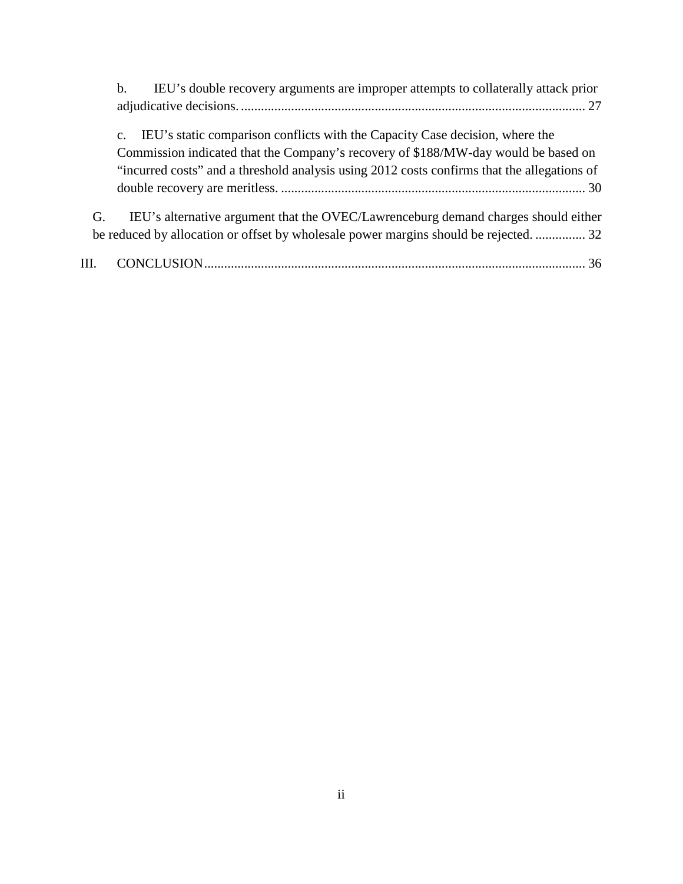|     | IEU's double recovery arguments are improper attempts to collaterally attack prior<br>$\mathbf{b}$ . |
|-----|------------------------------------------------------------------------------------------------------|
|     |                                                                                                      |
|     | IEU's static comparison conflicts with the Capacity Case decision, where the<br>$\mathbf{c}$ .       |
|     | Commission indicated that the Company's recovery of \$188/MW-day would be based on                   |
|     | "incurred costs" and a threshold analysis using 2012 costs confirms that the allegations of          |
|     |                                                                                                      |
| G.  | IEU's alternative argument that the OVEC/Lawrenceburg demand charges should either                   |
|     | be reduced by allocation or offset by wholesale power margins should be rejected.  32                |
| HL. |                                                                                                      |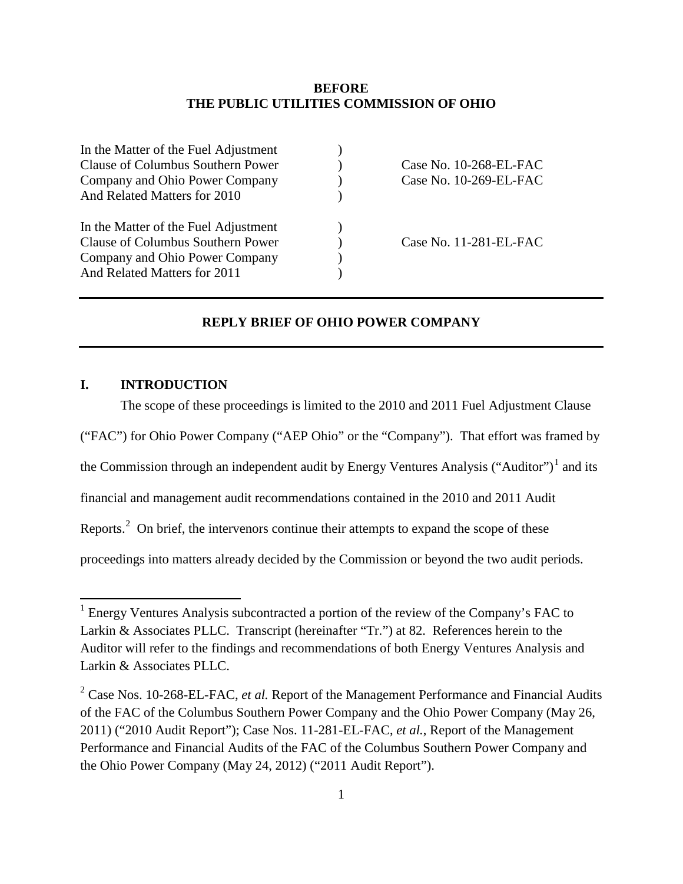#### **BEFORE THE PUBLIC UTILITIES COMMISSION OF OHIO**

| Case No. $10-268$ -EL-FAC |
|---------------------------|
| Case No. 10-269-EL-FAC    |
|                           |
|                           |
| Case No. 11-281-EL-FAC    |
|                           |
|                           |
|                           |

#### **REPLY BRIEF OF OHIO POWER COMPANY**

#### <span id="page-3-0"></span>**I. INTRODUCTION**

The scope of these proceedings is limited to the 2010 and 2011 Fuel Adjustment Clause ("FAC") for Ohio Power Company ("AEP Ohio" or the "Company"). That effort was framed by the Commission through an independent audit by Energy Ventures Analysis ("Auditor")<sup>[1](#page-3-2)</sup> and its financial and management audit recommendations contained in the 2010 and 2011 Audit Reports.<sup>[2](#page-3-1)</sup> On brief, the intervenors continue their attempts to expand the scope of these proceedings into matters already decided by the Commission or beyond the two audit periods.

<span id="page-3-2"></span><sup>&</sup>lt;sup>1</sup> Energy Ventures Analysis subcontracted a portion of the review of the Company's FAC to Larkin & Associates PLLC. Transcript (hereinafter "Tr.") at 82. References herein to the Auditor will refer to the findings and recommendations of both Energy Ventures Analysis and Larkin & Associates PLLC.

<span id="page-3-1"></span><sup>&</sup>lt;sup>2</sup> Case Nos. 10-268-EL-FAC, *et al.* Report of the Management Performance and Financial Audits of the FAC of the Columbus Southern Power Company and the Ohio Power Company (May 26, 2011) ("2010 Audit Report"); Case Nos. 11-281-EL-FAC, *et al.*, Report of the Management Performance and Financial Audits of the FAC of the Columbus Southern Power Company and the Ohio Power Company (May 24, 2012) ("2011 Audit Report").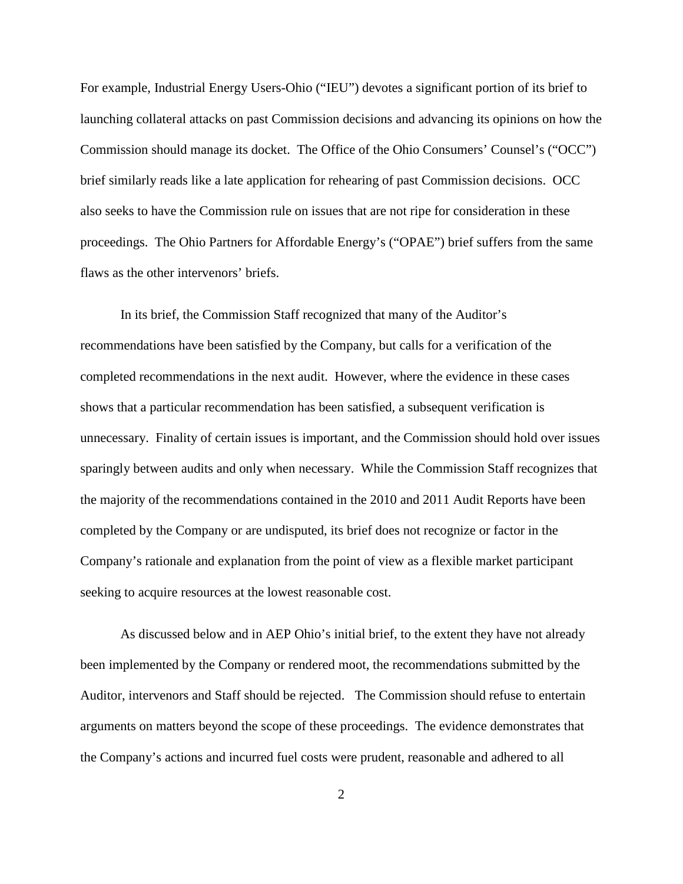For example, Industrial Energy Users-Ohio ("IEU") devotes a significant portion of its brief to launching collateral attacks on past Commission decisions and advancing its opinions on how the Commission should manage its docket. The Office of the Ohio Consumers' Counsel's ("OCC") brief similarly reads like a late application for rehearing of past Commission decisions. OCC also seeks to have the Commission rule on issues that are not ripe for consideration in these proceedings. The Ohio Partners for Affordable Energy's ("OPAE") brief suffers from the same flaws as the other intervenors' briefs.

In its brief, the Commission Staff recognized that many of the Auditor's recommendations have been satisfied by the Company, but calls for a verification of the completed recommendations in the next audit. However, where the evidence in these cases shows that a particular recommendation has been satisfied, a subsequent verification is unnecessary. Finality of certain issues is important, and the Commission should hold over issues sparingly between audits and only when necessary. While the Commission Staff recognizes that the majority of the recommendations contained in the 2010 and 2011 Audit Reports have been completed by the Company or are undisputed, its brief does not recognize or factor in the Company's rationale and explanation from the point of view as a flexible market participant seeking to acquire resources at the lowest reasonable cost.

As discussed below and in AEP Ohio's initial brief, to the extent they have not already been implemented by the Company or rendered moot, the recommendations submitted by the Auditor, intervenors and Staff should be rejected. The Commission should refuse to entertain arguments on matters beyond the scope of these proceedings. The evidence demonstrates that the Company's actions and incurred fuel costs were prudent, reasonable and adhered to all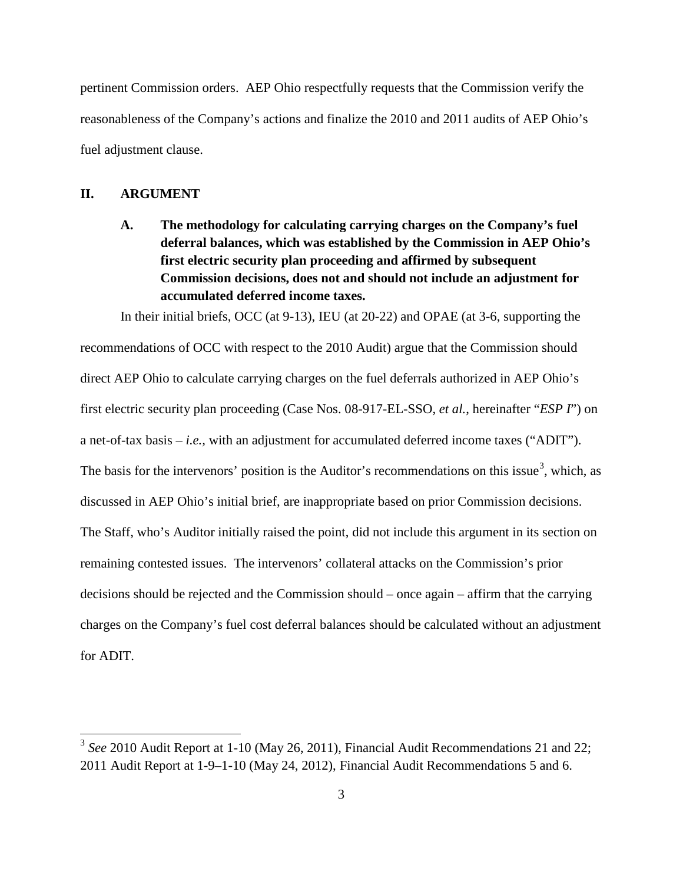pertinent Commission orders. AEP Ohio respectfully requests that the Commission verify the reasonableness of the Company's actions and finalize the 2010 and 2011 audits of AEP Ohio's fuel adjustment clause.

#### <span id="page-5-1"></span><span id="page-5-0"></span>**II. ARGUMENT**

**A. The methodology for calculating carrying charges on the Company's fuel deferral balances, which was established by the Commission in AEP Ohio's first electric security plan proceeding and affirmed by subsequent Commission decisions, does not and should not include an adjustment for accumulated deferred income taxes.** 

In their initial briefs, OCC (at 9-13), IEU (at 20-22) and OPAE (at 3-6, supporting the recommendations of OCC with respect to the 2010 Audit) argue that the Commission should direct AEP Ohio to calculate carrying charges on the fuel deferrals authorized in AEP Ohio's first electric security plan proceeding (Case Nos. 08-917-EL-SSO, *et al.*, hereinafter "*ESP I*") on a net-of-tax basis – *i.e.,* with an adjustment for accumulated deferred income taxes ("ADIT"). The basis for the intervenors' position is the Auditor's recommendations on this issue<sup>[3](#page-5-2)</sup>, which, as discussed in AEP Ohio's initial brief, are inappropriate based on prior Commission decisions. The Staff, who's Auditor initially raised the point, did not include this argument in its section on remaining contested issues. The intervenors' collateral attacks on the Commission's prior decisions should be rejected and the Commission should – once again – affirm that the carrying charges on the Company's fuel cost deferral balances should be calculated without an adjustment for ADIT.

<span id="page-5-2"></span><sup>&</sup>lt;sup>3</sup> See 2010 Audit Report at 1-10 (May 26, 2011), Financial Audit Recommendations 21 and 22; 2011 Audit Report at 1-9–1-10 (May 24, 2012), Financial Audit Recommendations 5 and 6.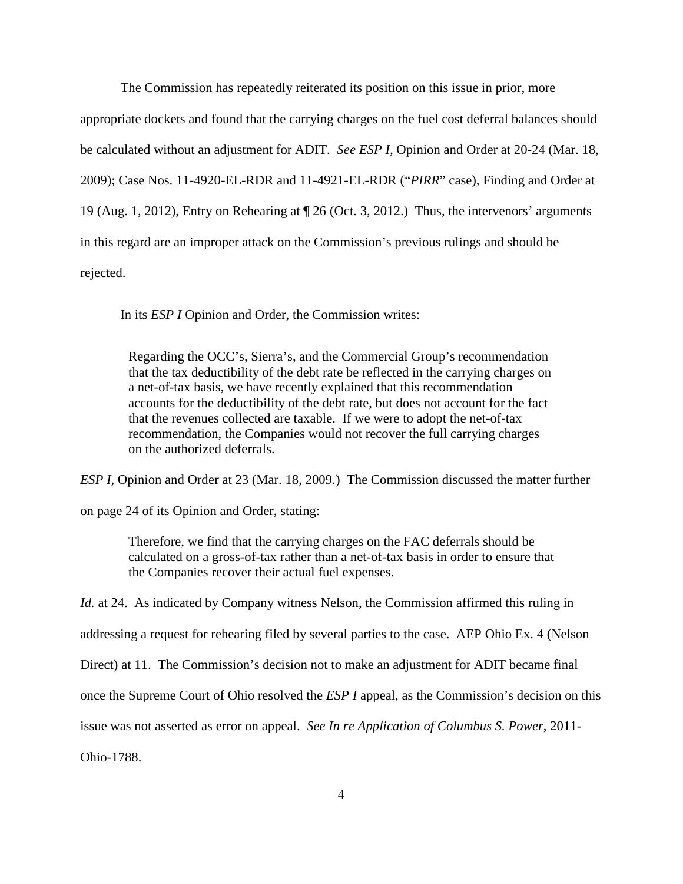The Commission has repeatedly reiterated its position on this issue in prior, more

appropriate dockets and found that the carrying charges on the fuel cost deferral balances should be calculated without an adjustment for ADIT. *See ESP I,* Opinion and Order at 20-24 (Mar. 18, 2009); Case Nos. 11-4920-EL-RDR and 11-4921-EL-RDR ("*PIRR*" case), Finding and Order at 19 (Aug. 1, 2012), Entry on Rehearing at ¶ 26 (Oct. 3, 2012.) Thus, the intervenors' arguments in this regard are an improper attack on the Commission's previous rulings and should be rejected.

In its *ESP I* Opinion and Order, the Commission writes:

Regarding the OCC's, Sierra's, and the Commercial Group's recommendation that the tax deductibility of the debt rate be reflected in the carrying charges on a net-of-tax basis, we have recently explained that this recommendation accounts for the deductibility of the debt rate, but does not account for the fact that the revenues collected are taxable. If we were to adopt the net-of-tax recommendation, the Companies would not recover the full carrying charges on the authorized deferrals.

*ESP I,* Opinion and Order at 23 (Mar. 18, 2009.) The Commission discussed the matter further

on page 24 of its Opinion and Order, stating:

Therefore, we find that the carrying charges on the FAC deferrals should be calculated on a gross-of-tax rather than a net-of-tax basis in order to ensure that the Companies recover their actual fuel expenses.

*Id.* at 24. As indicated by Company witness Nelson, the Commission affirmed this ruling in

addressing a request for rehearing filed by several parties to the case. AEP Ohio Ex. 4 (Nelson

Direct) at 11. The Commission's decision not to make an adjustment for ADIT became final

once the Supreme Court of Ohio resolved the *ESP I* appeal, as the Commission's decision on this

issue was not asserted as error on appeal. *See In re Application of Columbus S. Power*, 2011-

Ohio-1788.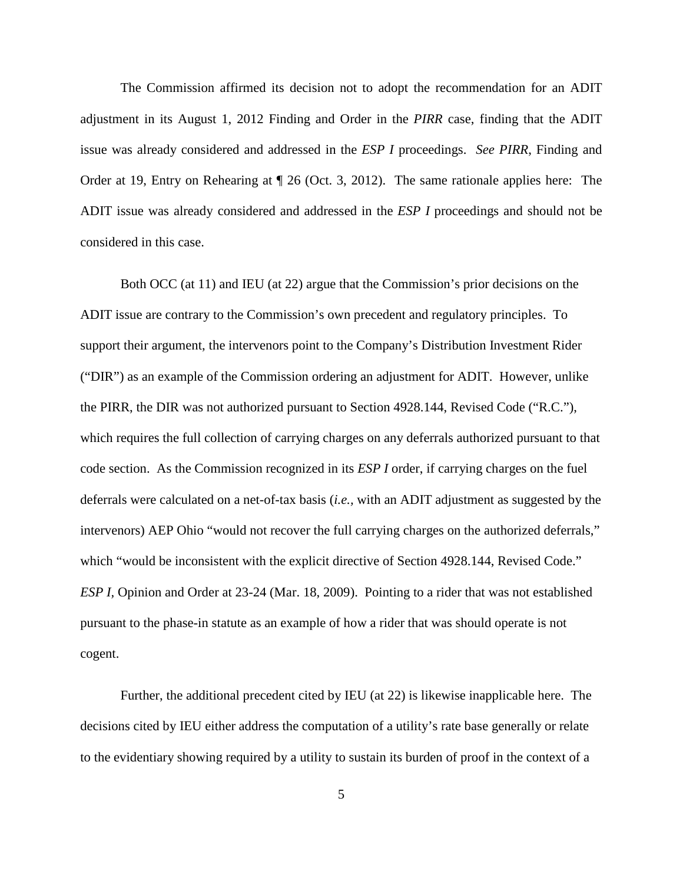The Commission affirmed its decision not to adopt the recommendation for an ADIT adjustment in its August 1, 2012 Finding and Order in the *PIRR* case, finding that the ADIT issue was already considered and addressed in the *ESP I* proceedings. *See PIRR*, Finding and Order at 19, Entry on Rehearing at ¶ 26 (Oct. 3, 2012). The same rationale applies here: The ADIT issue was already considered and addressed in the *ESP I* proceedings and should not be considered in this case.

Both OCC (at 11) and IEU (at 22) argue that the Commission's prior decisions on the ADIT issue are contrary to the Commission's own precedent and regulatory principles. To support their argument, the intervenors point to the Company's Distribution Investment Rider ("DIR") as an example of the Commission ordering an adjustment for ADIT. However, unlike the PIRR, the DIR was not authorized pursuant to Section 4928.144, Revised Code ("R.C."), which requires the full collection of carrying charges on any deferrals authorized pursuant to that code section. As the Commission recognized in its *ESP I* order, if carrying charges on the fuel deferrals were calculated on a net-of-tax basis (*i.e.,* with an ADIT adjustment as suggested by the intervenors) AEP Ohio "would not recover the full carrying charges on the authorized deferrals," which "would be inconsistent with the explicit directive of Section 4928.144, Revised Code." *ESP I,* Opinion and Order at 23-24 (Mar. 18, 2009). Pointing to a rider that was not established pursuant to the phase-in statute as an example of how a rider that was should operate is not cogent.

Further, the additional precedent cited by IEU (at 22) is likewise inapplicable here. The decisions cited by IEU either address the computation of a utility's rate base generally or relate to the evidentiary showing required by a utility to sustain its burden of proof in the context of a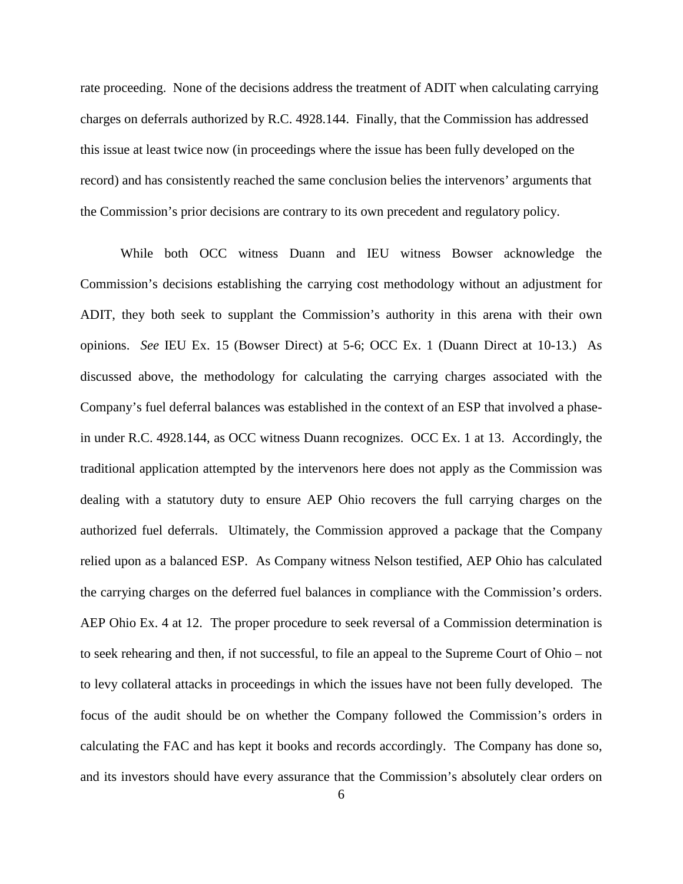rate proceeding. None of the decisions address the treatment of ADIT when calculating carrying charges on deferrals authorized by R.C. 4928.144. Finally, that the Commission has addressed this issue at least twice now (in proceedings where the issue has been fully developed on the record) and has consistently reached the same conclusion belies the intervenors' arguments that the Commission's prior decisions are contrary to its own precedent and regulatory policy.

While both OCC witness Duann and IEU witness Bowser acknowledge the Commission's decisions establishing the carrying cost methodology without an adjustment for ADIT, they both seek to supplant the Commission's authority in this arena with their own opinions. *See* IEU Ex. 15 (Bowser Direct) at 5-6; OCC Ex. 1 (Duann Direct at 10-13.) As discussed above, the methodology for calculating the carrying charges associated with the Company's fuel deferral balances was established in the context of an ESP that involved a phasein under R.C. 4928.144, as OCC witness Duann recognizes. OCC Ex. 1 at 13. Accordingly, the traditional application attempted by the intervenors here does not apply as the Commission was dealing with a statutory duty to ensure AEP Ohio recovers the full carrying charges on the authorized fuel deferrals. Ultimately, the Commission approved a package that the Company relied upon as a balanced ESP. As Company witness Nelson testified, AEP Ohio has calculated the carrying charges on the deferred fuel balances in compliance with the Commission's orders. AEP Ohio Ex. 4 at 12. The proper procedure to seek reversal of a Commission determination is to seek rehearing and then, if not successful, to file an appeal to the Supreme Court of Ohio – not to levy collateral attacks in proceedings in which the issues have not been fully developed. The focus of the audit should be on whether the Company followed the Commission's orders in calculating the FAC and has kept it books and records accordingly. The Company has done so, and its investors should have every assurance that the Commission's absolutely clear orders on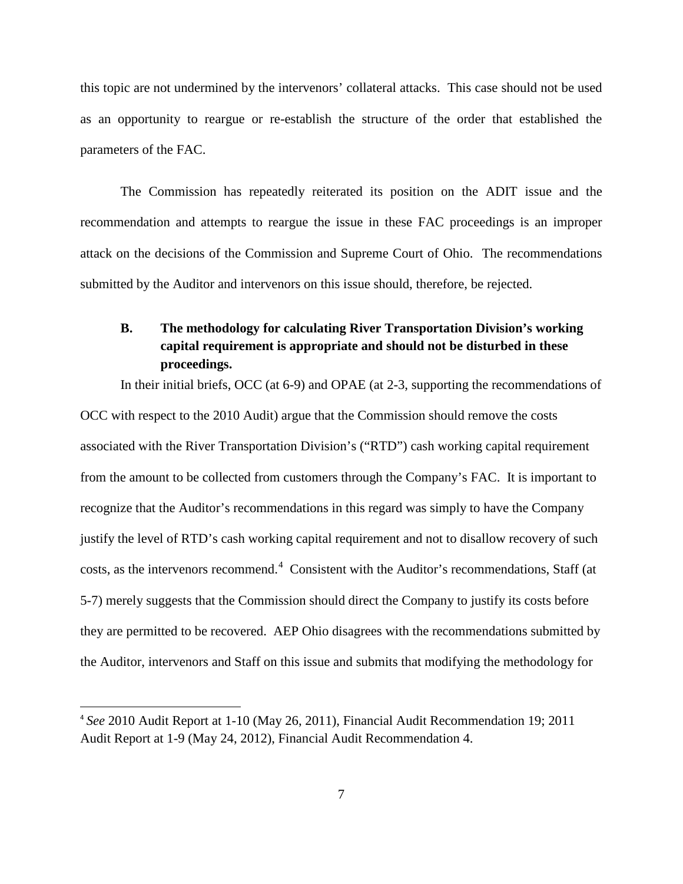this topic are not undermined by the intervenors' collateral attacks. This case should not be used as an opportunity to reargue or re-establish the structure of the order that established the parameters of the FAC.

The Commission has repeatedly reiterated its position on the ADIT issue and the recommendation and attempts to reargue the issue in these FAC proceedings is an improper attack on the decisions of the Commission and Supreme Court of Ohio. The recommendations submitted by the Auditor and intervenors on this issue should, therefore, be rejected.

## <span id="page-9-0"></span>**B. The methodology for calculating River Transportation Division's working capital requirement is appropriate and should not be disturbed in these proceedings.**

In their initial briefs, OCC (at 6-9) and OPAE (at 2-3, supporting the recommendations of OCC with respect to the 2010 Audit) argue that the Commission should remove the costs associated with the River Transportation Division's ("RTD") cash working capital requirement from the amount to be collected from customers through the Company's FAC. It is important to recognize that the Auditor's recommendations in this regard was simply to have the Company justify the level of RTD's cash working capital requirement and not to disallow recovery of such costs, as the intervenors recommend.<sup>[4](#page-9-1)</sup> Consistent with the Auditor's recommendations, Staff (at 5-7) merely suggests that the Commission should direct the Company to justify its costs before they are permitted to be recovered. AEP Ohio disagrees with the recommendations submitted by the Auditor, intervenors and Staff on this issue and submits that modifying the methodology for

<span id="page-9-1"></span> <sup>4</sup> *See* 2010 Audit Report at 1-10 (May 26, 2011), Financial Audit Recommendation 19; 2011 Audit Report at 1-9 (May 24, 2012), Financial Audit Recommendation 4.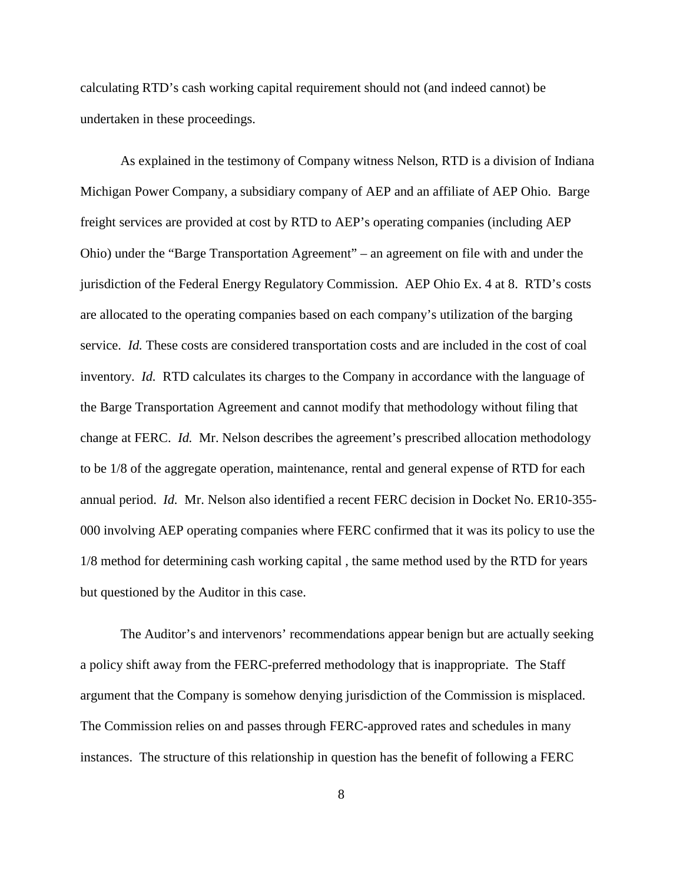calculating RTD's cash working capital requirement should not (and indeed cannot) be undertaken in these proceedings.

As explained in the testimony of Company witness Nelson, RTD is a division of Indiana Michigan Power Company, a subsidiary company of AEP and an affiliate of AEP Ohio. Barge freight services are provided at cost by RTD to AEP's operating companies (including AEP Ohio) under the "Barge Transportation Agreement" – an agreement on file with and under the jurisdiction of the Federal Energy Regulatory Commission. AEP Ohio Ex. 4 at 8. RTD's costs are allocated to the operating companies based on each company's utilization of the barging service. *Id.* These costs are considered transportation costs and are included in the cost of coal inventory. *Id.* RTD calculates its charges to the Company in accordance with the language of the Barge Transportation Agreement and cannot modify that methodology without filing that change at FERC. *Id.* Mr. Nelson describes the agreement's prescribed allocation methodology to be 1/8 of the aggregate operation, maintenance, rental and general expense of RTD for each annual period. *Id.* Mr. Nelson also identified a recent FERC decision in Docket No. ER10-355- 000 involving AEP operating companies where FERC confirmed that it was its policy to use the 1/8 method for determining cash working capital , the same method used by the RTD for years but questioned by the Auditor in this case.

The Auditor's and intervenors' recommendations appear benign but are actually seeking a policy shift away from the FERC-preferred methodology that is inappropriate. The Staff argument that the Company is somehow denying jurisdiction of the Commission is misplaced. The Commission relies on and passes through FERC-approved rates and schedules in many instances. The structure of this relationship in question has the benefit of following a FERC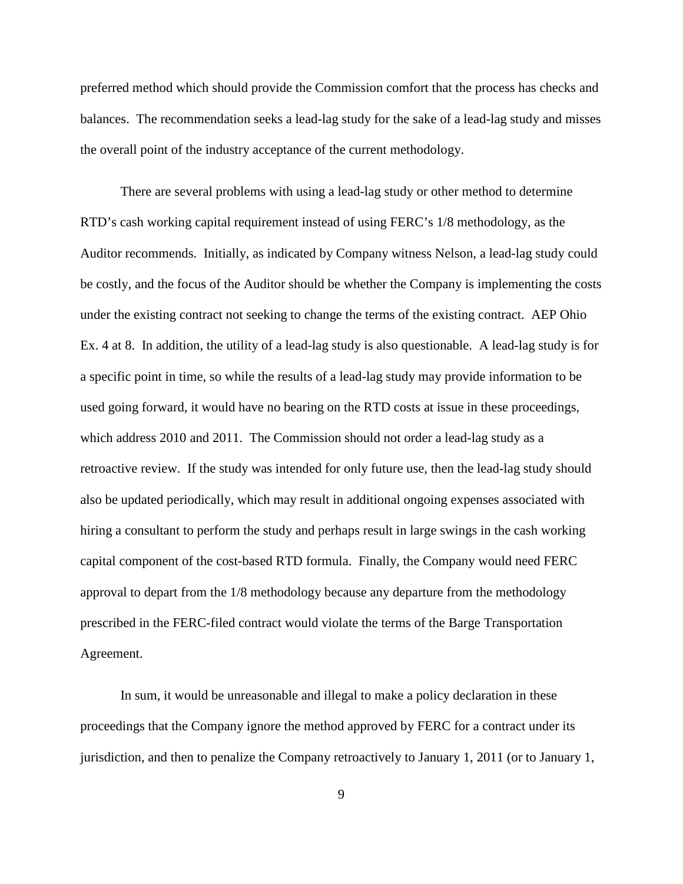preferred method which should provide the Commission comfort that the process has checks and balances. The recommendation seeks a lead-lag study for the sake of a lead-lag study and misses the overall point of the industry acceptance of the current methodology.

There are several problems with using a lead-lag study or other method to determine RTD's cash working capital requirement instead of using FERC's 1/8 methodology, as the Auditor recommends. Initially, as indicated by Company witness Nelson, a lead-lag study could be costly, and the focus of the Auditor should be whether the Company is implementing the costs under the existing contract not seeking to change the terms of the existing contract. AEP Ohio Ex. 4 at 8. In addition, the utility of a lead-lag study is also questionable. A lead-lag study is for a specific point in time, so while the results of a lead-lag study may provide information to be used going forward, it would have no bearing on the RTD costs at issue in these proceedings, which address 2010 and 2011. The Commission should not order a lead-lag study as a retroactive review. If the study was intended for only future use, then the lead-lag study should also be updated periodically, which may result in additional ongoing expenses associated with hiring a consultant to perform the study and perhaps result in large swings in the cash working capital component of the cost-based RTD formula. Finally, the Company would need FERC approval to depart from the 1/8 methodology because any departure from the methodology prescribed in the FERC-filed contract would violate the terms of the Barge Transportation Agreement.

In sum, it would be unreasonable and illegal to make a policy declaration in these proceedings that the Company ignore the method approved by FERC for a contract under its jurisdiction, and then to penalize the Company retroactively to January 1, 2011 (or to January 1,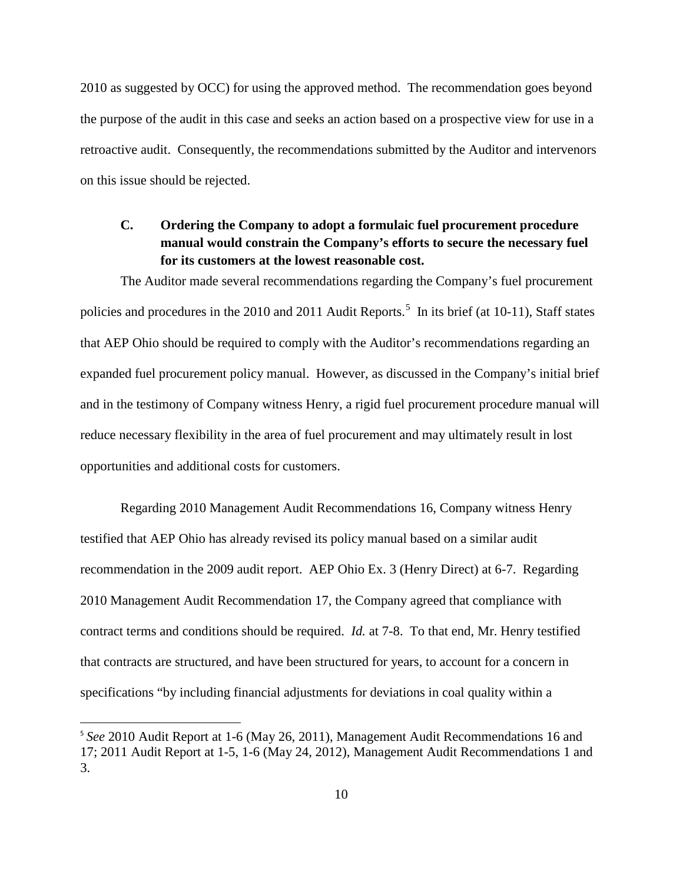2010 as suggested by OCC) for using the approved method. The recommendation goes beyond the purpose of the audit in this case and seeks an action based on a prospective view for use in a retroactive audit. Consequently, the recommendations submitted by the Auditor and intervenors on this issue should be rejected.

## <span id="page-12-0"></span>**C. Ordering the Company to adopt a formulaic fuel procurement procedure manual would constrain the Company's efforts to secure the necessary fuel for its customers at the lowest reasonable cost.**

The Auditor made several recommendations regarding the Company's fuel procurement policies and procedures in the 2010 and 2011 Audit Reports.<sup>[5](#page-12-1)</sup> In its brief (at 10-11), Staff states that AEP Ohio should be required to comply with the Auditor's recommendations regarding an expanded fuel procurement policy manual. However, as discussed in the Company's initial brief and in the testimony of Company witness Henry, a rigid fuel procurement procedure manual will reduce necessary flexibility in the area of fuel procurement and may ultimately result in lost opportunities and additional costs for customers.

Regarding 2010 Management Audit Recommendations 16, Company witness Henry testified that AEP Ohio has already revised its policy manual based on a similar audit recommendation in the 2009 audit report. AEP Ohio Ex. 3 (Henry Direct) at 6-7. Regarding 2010 Management Audit Recommendation 17, the Company agreed that compliance with contract terms and conditions should be required. *Id.* at 7-8. To that end, Mr. Henry testified that contracts are structured, and have been structured for years, to account for a concern in specifications "by including financial adjustments for deviations in coal quality within a

<span id="page-12-1"></span> <sup>5</sup> *See* 2010 Audit Report at 1-6 (May 26, 2011), Management Audit Recommendations 16 and 17; 2011 Audit Report at 1-5, 1-6 (May 24, 2012), Management Audit Recommendations 1 and 3.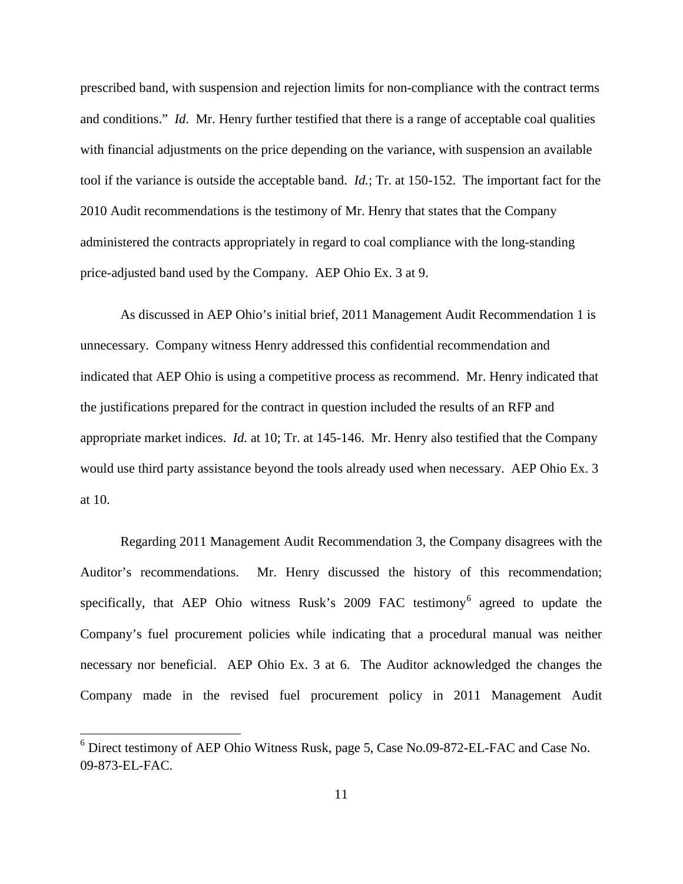prescribed band, with suspension and rejection limits for non-compliance with the contract terms and conditions." *Id*. Mr. Henry further testified that there is a range of acceptable coal qualities with financial adjustments on the price depending on the variance, with suspension an available tool if the variance is outside the acceptable band. *Id.*; Tr. at 150-152. The important fact for the 2010 Audit recommendations is the testimony of Mr. Henry that states that the Company administered the contracts appropriately in regard to coal compliance with the long-standing price-adjusted band used by the Company. AEP Ohio Ex. 3 at 9.

As discussed in AEP Ohio's initial brief, 2011 Management Audit Recommendation 1 is unnecessary. Company witness Henry addressed this confidential recommendation and indicated that AEP Ohio is using a competitive process as recommend. Mr. Henry indicated that the justifications prepared for the contract in question included the results of an RFP and appropriate market indices. *Id.* at 10; Tr. at 145-146. Mr. Henry also testified that the Company would use third party assistance beyond the tools already used when necessary. AEP Ohio Ex. 3 at 10.

Regarding 2011 Management Audit Recommendation 3, the Company disagrees with the Auditor's recommendations. Mr. Henry discussed the history of this recommendation; specifically, that AEP Ohio witness Rusk's  $2009$  FAC testimony<sup>[6](#page-13-0)</sup> agreed to update the Company's fuel procurement policies while indicating that a procedural manual was neither necessary nor beneficial. AEP Ohio Ex. 3 at 6. The Auditor acknowledged the changes the Company made in the revised fuel procurement policy in 2011 Management Audit

<span id="page-13-0"></span><sup>6</sup> Direct testimony of AEP Ohio Witness Rusk, page 5, Case No.09-872-EL-FAC and Case No. 09-873-EL-FAC.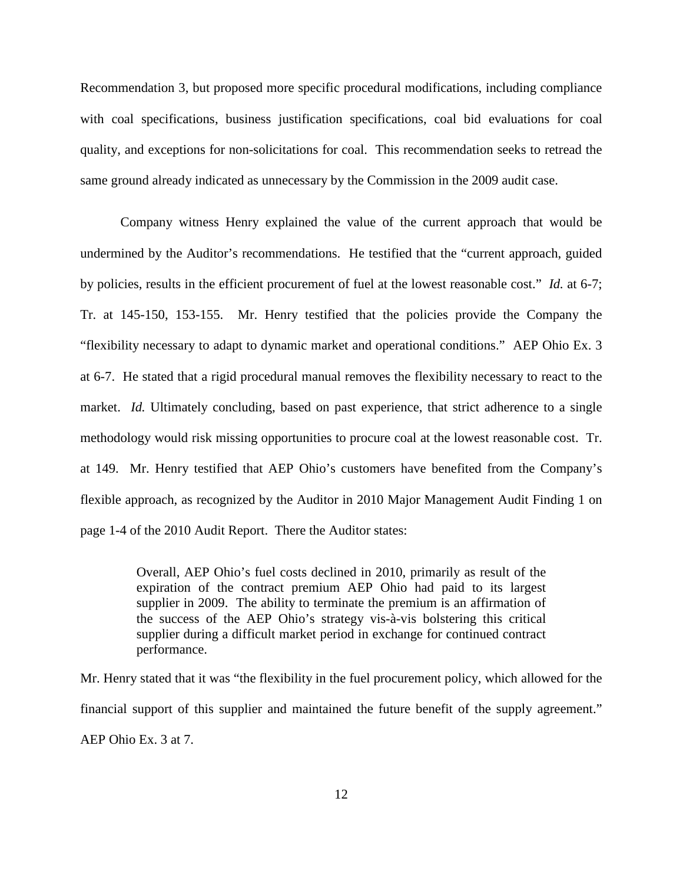Recommendation 3, but proposed more specific procedural modifications, including compliance with coal specifications, business justification specifications, coal bid evaluations for coal quality, and exceptions for non-solicitations for coal. This recommendation seeks to retread the same ground already indicated as unnecessary by the Commission in the 2009 audit case.

Company witness Henry explained the value of the current approach that would be undermined by the Auditor's recommendations. He testified that the "current approach, guided by policies, results in the efficient procurement of fuel at the lowest reasonable cost." *Id.* at 6-7; Tr. at 145-150, 153-155. Mr. Henry testified that the policies provide the Company the "flexibility necessary to adapt to dynamic market and operational conditions." AEP Ohio Ex. 3 at 6-7. He stated that a rigid procedural manual removes the flexibility necessary to react to the market. *Id.* Ultimately concluding, based on past experience, that strict adherence to a single methodology would risk missing opportunities to procure coal at the lowest reasonable cost. Tr. at 149. Mr. Henry testified that AEP Ohio's customers have benefited from the Company's flexible approach, as recognized by the Auditor in 2010 Major Management Audit Finding 1 on page 1-4 of the 2010 Audit Report. There the Auditor states:

> Overall, AEP Ohio's fuel costs declined in 2010, primarily as result of the expiration of the contract premium AEP Ohio had paid to its largest supplier in 2009. The ability to terminate the premium is an affirmation of the success of the AEP Ohio's strategy vis-à-vis bolstering this critical supplier during a difficult market period in exchange for continued contract performance.

Mr. Henry stated that it was "the flexibility in the fuel procurement policy, which allowed for the financial support of this supplier and maintained the future benefit of the supply agreement." AEP Ohio Ex. 3 at 7.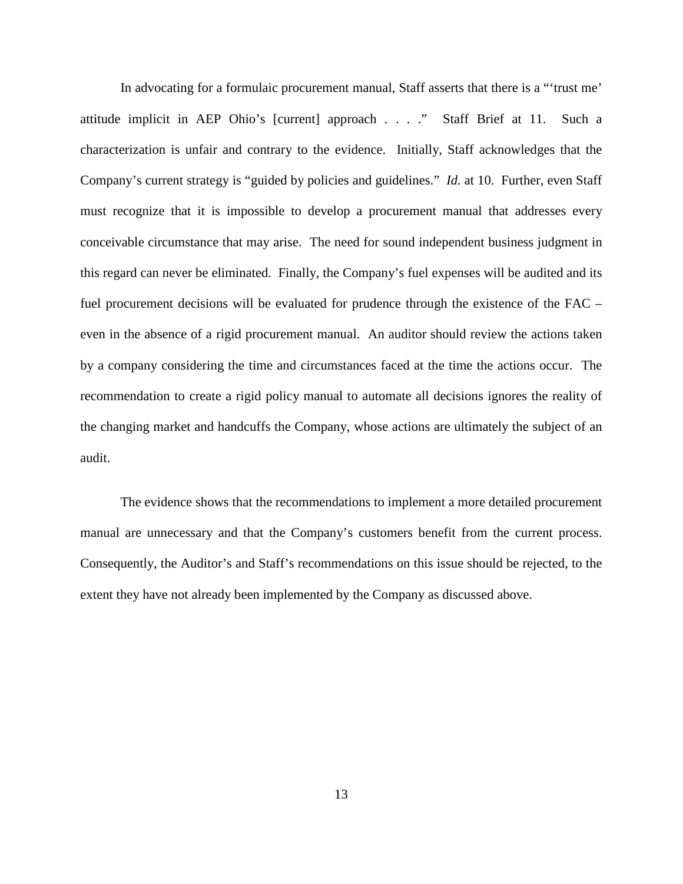In advocating for a formulaic procurement manual, Staff asserts that there is a "'trust me' attitude implicit in AEP Ohio's [current] approach . . . ." Staff Brief at 11. Such a characterization is unfair and contrary to the evidence. Initially, Staff acknowledges that the Company's current strategy is "guided by policies and guidelines." *Id.* at 10. Further, even Staff must recognize that it is impossible to develop a procurement manual that addresses every conceivable circumstance that may arise. The need for sound independent business judgment in this regard can never be eliminated. Finally, the Company's fuel expenses will be audited and its fuel procurement decisions will be evaluated for prudence through the existence of the FAC – even in the absence of a rigid procurement manual. An auditor should review the actions taken by a company considering the time and circumstances faced at the time the actions occur. The recommendation to create a rigid policy manual to automate all decisions ignores the reality of the changing market and handcuffs the Company, whose actions are ultimately the subject of an audit.

The evidence shows that the recommendations to implement a more detailed procurement manual are unnecessary and that the Company's customers benefit from the current process. Consequently, the Auditor's and Staff's recommendations on this issue should be rejected, to the extent they have not already been implemented by the Company as discussed above.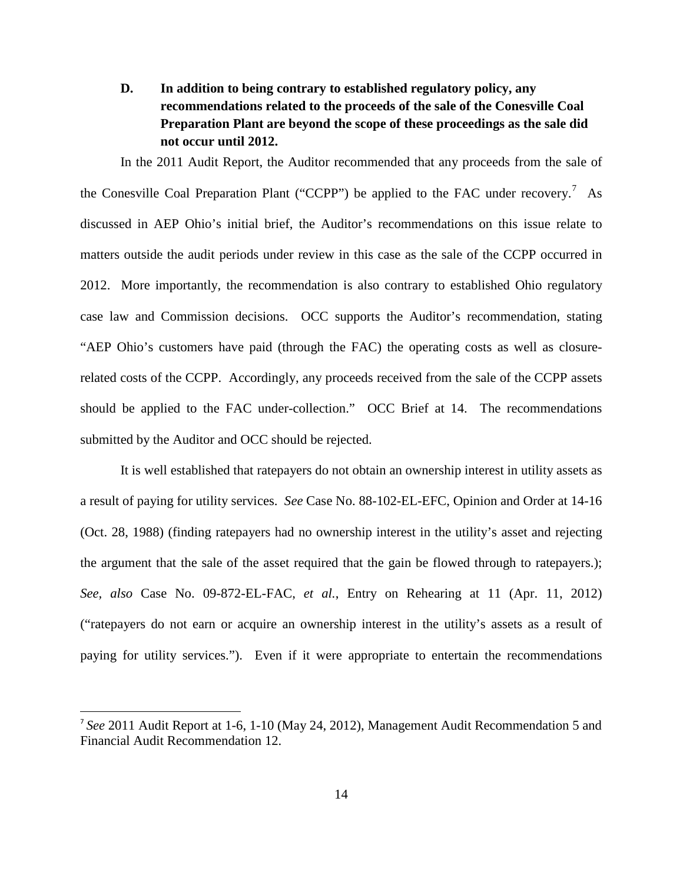<span id="page-16-0"></span>**D. In addition to being contrary to established regulatory policy, any recommendations related to the proceeds of the sale of the Conesville Coal Preparation Plant are beyond the scope of these proceedings as the sale did not occur until 2012.**

In the 2011 Audit Report, the Auditor recommended that any proceeds from the sale of the Conesville Coal Preparation Plant ("CCPP") be applied to the FAC under recovery.<sup>[7](#page-16-1)</sup> As discussed in AEP Ohio's initial brief, the Auditor's recommendations on this issue relate to matters outside the audit periods under review in this case as the sale of the CCPP occurred in 2012. More importantly, the recommendation is also contrary to established Ohio regulatory case law and Commission decisions. OCC supports the Auditor's recommendation, stating "AEP Ohio's customers have paid (through the FAC) the operating costs as well as closurerelated costs of the CCPP. Accordingly, any proceeds received from the sale of the CCPP assets should be applied to the FAC under-collection." OCC Brief at 14. The recommendations submitted by the Auditor and OCC should be rejected.

It is well established that ratepayers do not obtain an ownership interest in utility assets as a result of paying for utility services. *See* Case No. 88-102-EL-EFC, Opinion and Order at 14-16 (Oct. 28, 1988) (finding ratepayers had no ownership interest in the utility's asset and rejecting the argument that the sale of the asset required that the gain be flowed through to ratepayers.); *See, also* Case No. 09-872-EL-FAC, *et al.*, Entry on Rehearing at 11 (Apr. 11, 2012) ("ratepayers do not earn or acquire an ownership interest in the utility's assets as a result of paying for utility services."). Even if it were appropriate to entertain the recommendations

<span id="page-16-1"></span> <sup>7</sup> *See* 2011 Audit Report at 1-6, 1-10 (May 24, 2012), Management Audit Recommendation 5 and Financial Audit Recommendation 12.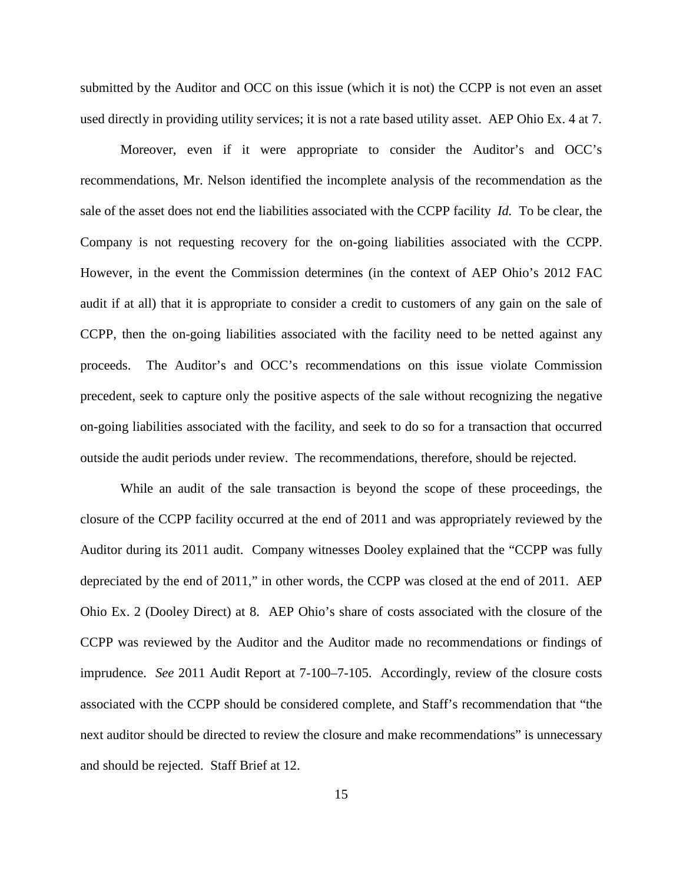submitted by the Auditor and OCC on this issue (which it is not) the CCPP is not even an asset used directly in providing utility services; it is not a rate based utility asset. AEP Ohio Ex. 4 at 7.

Moreover, even if it were appropriate to consider the Auditor's and OCC's recommendations, Mr. Nelson identified the incomplete analysis of the recommendation as the sale of the asset does not end the liabilities associated with the CCPP facility *Id.* To be clear, the Company is not requesting recovery for the on-going liabilities associated with the CCPP. However, in the event the Commission determines (in the context of AEP Ohio's 2012 FAC audit if at all) that it is appropriate to consider a credit to customers of any gain on the sale of CCPP, then the on-going liabilities associated with the facility need to be netted against any proceeds. The Auditor's and OCC's recommendations on this issue violate Commission precedent, seek to capture only the positive aspects of the sale without recognizing the negative on-going liabilities associated with the facility, and seek to do so for a transaction that occurred outside the audit periods under review. The recommendations, therefore, should be rejected.

While an audit of the sale transaction is beyond the scope of these proceedings, the closure of the CCPP facility occurred at the end of 2011 and was appropriately reviewed by the Auditor during its 2011 audit. Company witnesses Dooley explained that the "CCPP was fully depreciated by the end of 2011," in other words, the CCPP was closed at the end of 2011. AEP Ohio Ex. 2 (Dooley Direct) at 8. AEP Ohio's share of costs associated with the closure of the CCPP was reviewed by the Auditor and the Auditor made no recommendations or findings of imprudence. *See* 2011 Audit Report at 7-100–7-105. Accordingly, review of the closure costs associated with the CCPP should be considered complete, and Staff's recommendation that "the next auditor should be directed to review the closure and make recommendations" is unnecessary and should be rejected. Staff Brief at 12.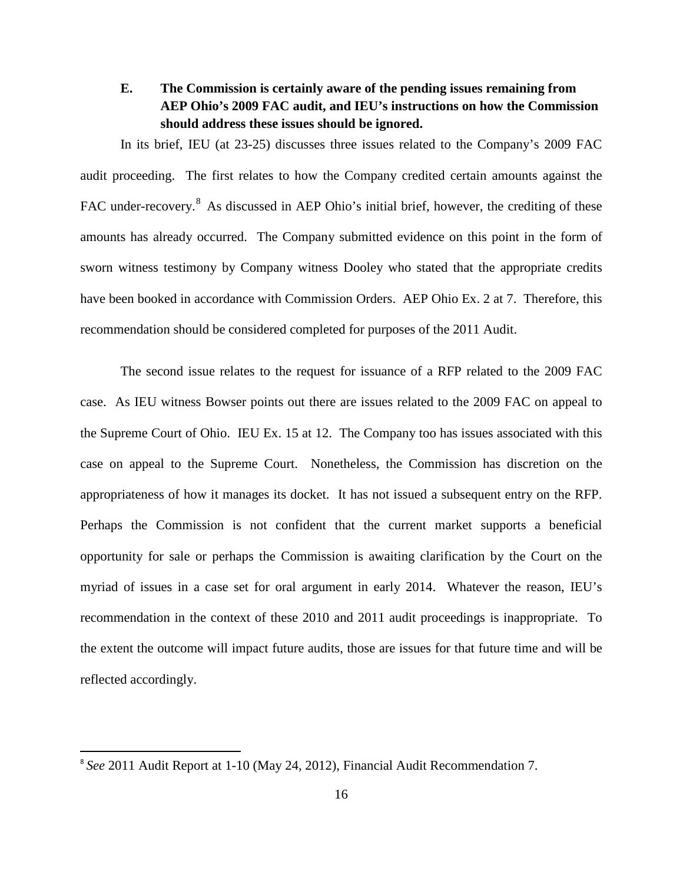## <span id="page-18-0"></span>**E. The Commission is certainly aware of the pending issues remaining from AEP Ohio's 2009 FAC audit, and IEU's instructions on how the Commission should address these issues should be ignored.**

In its brief, IEU (at 23-25) discusses three issues related to the Company's 2009 FAC audit proceeding. The first relates to how the Company credited certain amounts against the FAC under-recovery.<sup>8</sup> As discussed in AEP Ohio's initial brief, however, the crediting of these amounts has already occurred. The Company submitted evidence on this point in the form of sworn witness testimony by Company witness Dooley who stated that the appropriate credits have been booked in accordance with Commission Orders. AEP Ohio Ex. 2 at 7. Therefore, this recommendation should be considered completed for purposes of the 2011 Audit.

The second issue relates to the request for issuance of a RFP related to the 2009 FAC case. As IEU witness Bowser points out there are issues related to the 2009 FAC on appeal to the Supreme Court of Ohio. IEU Ex. 15 at 12. The Company too has issues associated with this case on appeal to the Supreme Court. Nonetheless, the Commission has discretion on the appropriateness of how it manages its docket. It has not issued a subsequent entry on the RFP. Perhaps the Commission is not confident that the current market supports a beneficial opportunity for sale or perhaps the Commission is awaiting clarification by the Court on the myriad of issues in a case set for oral argument in early 2014. Whatever the reason, IEU's recommendation in the context of these 2010 and 2011 audit proceedings is inappropriate. To the extent the outcome will impact future audits, those are issues for that future time and will be reflected accordingly.

<span id="page-18-1"></span> <sup>8</sup> *See* 2011 Audit Report at 1-10 (May 24, 2012), Financial Audit Recommendation 7.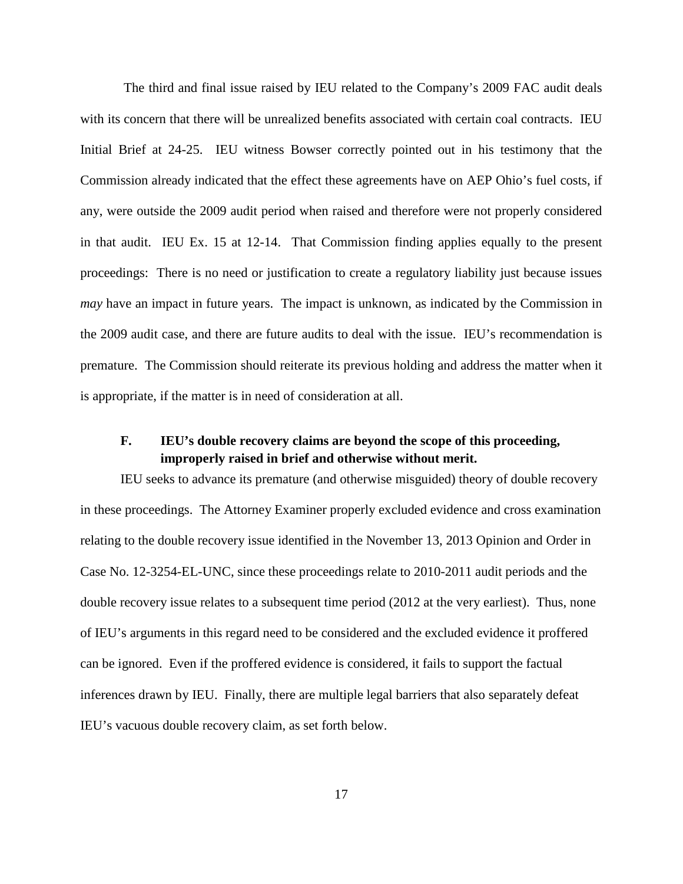The third and final issue raised by IEU related to the Company's 2009 FAC audit deals with its concern that there will be unrealized benefits associated with certain coal contracts. IEU Initial Brief at 24-25. IEU witness Bowser correctly pointed out in his testimony that the Commission already indicated that the effect these agreements have on AEP Ohio's fuel costs, if any, were outside the 2009 audit period when raised and therefore were not properly considered in that audit. IEU Ex. 15 at 12-14. That Commission finding applies equally to the present proceedings: There is no need or justification to create a regulatory liability just because issues *may* have an impact in future years. The impact is unknown, as indicated by the Commission in the 2009 audit case, and there are future audits to deal with the issue. IEU's recommendation is premature. The Commission should reiterate its previous holding and address the matter when it is appropriate, if the matter is in need of consideration at all.

### <span id="page-19-0"></span>**F. IEU's double recovery claims are beyond the scope of this proceeding, improperly raised in brief and otherwise without merit.**

IEU seeks to advance its premature (and otherwise misguided) theory of double recovery in these proceedings. The Attorney Examiner properly excluded evidence and cross examination relating to the double recovery issue identified in the November 13, 2013 Opinion and Order in Case No. 12-3254-EL-UNC, since these proceedings relate to 2010-2011 audit periods and the double recovery issue relates to a subsequent time period (2012 at the very earliest). Thus, none of IEU's arguments in this regard need to be considered and the excluded evidence it proffered can be ignored. Even if the proffered evidence is considered, it fails to support the factual inferences drawn by IEU. Finally, there are multiple legal barriers that also separately defeat IEU's vacuous double recovery claim, as set forth below.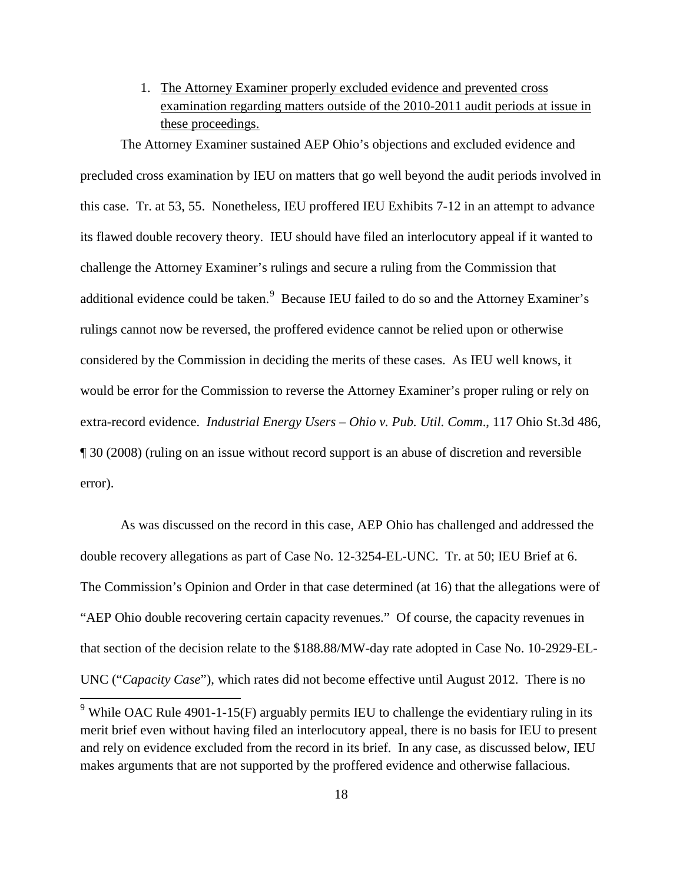1. The Attorney Examiner properly excluded evidence and prevented cross examination regarding matters outside of the 2010-2011 audit periods at issue in these proceedings.

<span id="page-20-0"></span>The Attorney Examiner sustained AEP Ohio's objections and excluded evidence and precluded cross examination by IEU on matters that go well beyond the audit periods involved in this case. Tr. at 53, 55. Nonetheless, IEU proffered IEU Exhibits 7-12 in an attempt to advance its flawed double recovery theory. IEU should have filed an interlocutory appeal if it wanted to challenge the Attorney Examiner's rulings and secure a ruling from the Commission that additional evidence could be taken. $^{9}$  $^{9}$  $^{9}$  Because IEU failed to do so and the Attorney Examiner's rulings cannot now be reversed, the proffered evidence cannot be relied upon or otherwise considered by the Commission in deciding the merits of these cases. As IEU well knows, it would be error for the Commission to reverse the Attorney Examiner's proper ruling or rely on extra-record evidence. *Industrial Energy Users – Ohio v. Pub. Util. Comm*., 117 Ohio St.3d 486, ¶ 30 (2008) (ruling on an issue without record support is an abuse of discretion and reversible error).

As was discussed on the record in this case, AEP Ohio has challenged and addressed the double recovery allegations as part of Case No. 12-3254-EL-UNC. Tr. at 50; IEU Brief at 6. The Commission's Opinion and Order in that case determined (at 16) that the allegations were of "AEP Ohio double recovering certain capacity revenues." Of course, the capacity revenues in that section of the decision relate to the \$188.88/MW-day rate adopted in Case No. 10-2929-EL-UNC ("*Capacity Case*"), which rates did not become effective until August 2012. There is no

<span id="page-20-1"></span> $9$  While OAC Rule 4901-1-15(F) arguably permits IEU to challenge the evidentiary ruling in its merit brief even without having filed an interlocutory appeal, there is no basis for IEU to present and rely on evidence excluded from the record in its brief. In any case, as discussed below, IEU makes arguments that are not supported by the proffered evidence and otherwise fallacious.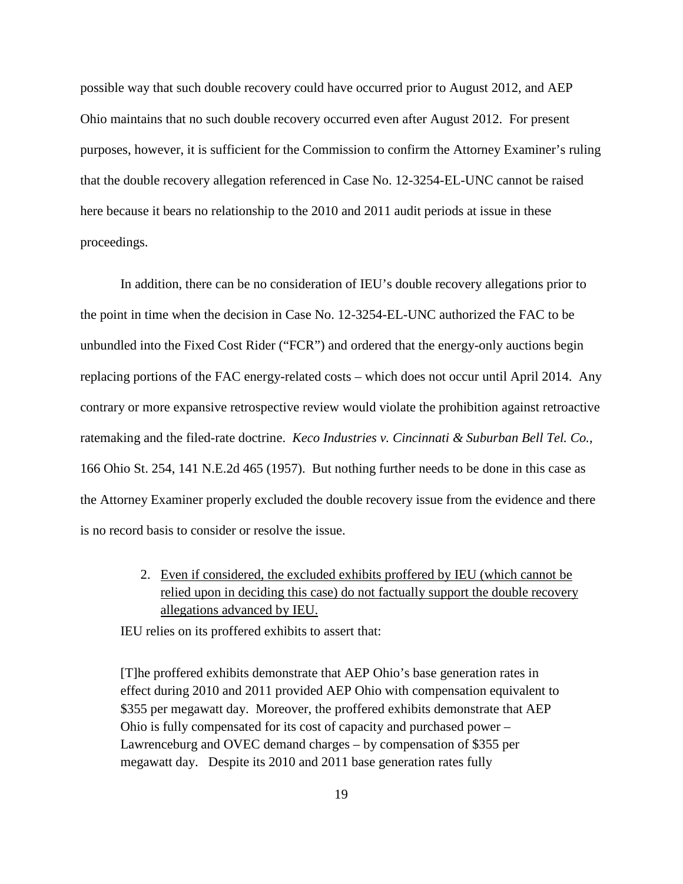possible way that such double recovery could have occurred prior to August 2012, and AEP Ohio maintains that no such double recovery occurred even after August 2012. For present purposes, however, it is sufficient for the Commission to confirm the Attorney Examiner's ruling that the double recovery allegation referenced in Case No. 12-3254-EL-UNC cannot be raised here because it bears no relationship to the 2010 and 2011 audit periods at issue in these proceedings.

In addition, there can be no consideration of IEU's double recovery allegations prior to the point in time when the decision in Case No. 12-3254-EL-UNC authorized the FAC to be unbundled into the Fixed Cost Rider ("FCR") and ordered that the energy-only auctions begin replacing portions of the FAC energy-related costs – which does not occur until April 2014. Any contrary or more expansive retrospective review would violate the prohibition against retroactive ratemaking and the filed-rate doctrine. *Keco Industries v. Cincinnati & Suburban Bell Tel. Co.*, 166 Ohio St. 254, 141 N.E.2d 465 (1957). But nothing further needs to be done in this case as the Attorney Examiner properly excluded the double recovery issue from the evidence and there is no record basis to consider or resolve the issue.

> <span id="page-21-0"></span>2. Even if considered, the excluded exhibits proffered by IEU (which cannot be relied upon in deciding this case) do not factually support the double recovery allegations advanced by IEU.

IEU relies on its proffered exhibits to assert that:

[T]he proffered exhibits demonstrate that AEP Ohio's base generation rates in effect during 2010 and 2011 provided AEP Ohio with compensation equivalent to \$355 per megawatt day. Moreover, the proffered exhibits demonstrate that AEP Ohio is fully compensated for its cost of capacity and purchased power – Lawrenceburg and OVEC demand charges – by compensation of \$355 per megawatt day. Despite its 2010 and 2011 base generation rates fully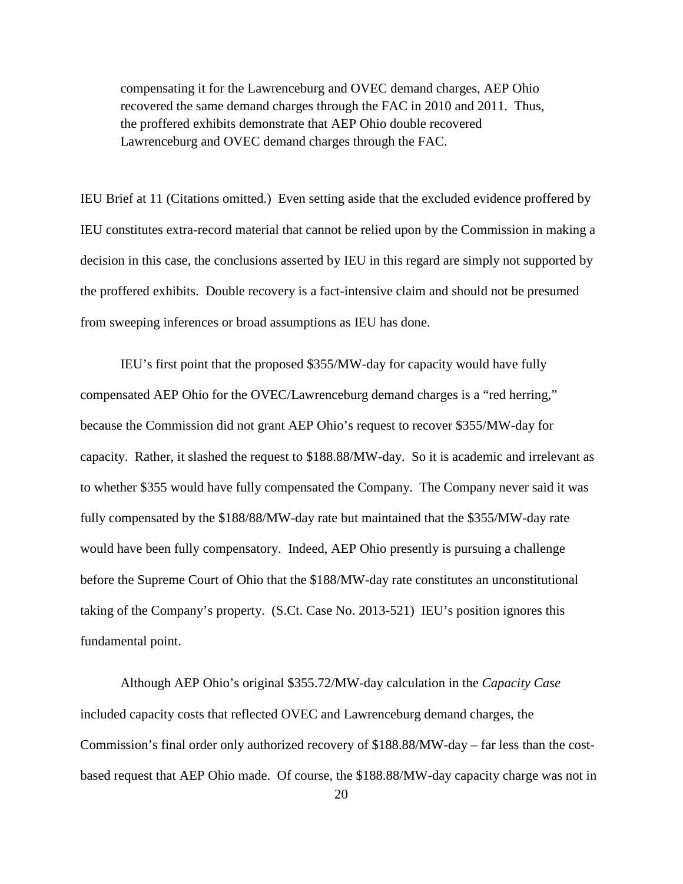compensating it for the Lawrenceburg and OVEC demand charges, AEP Ohio recovered the same demand charges through the FAC in 2010 and 2011. Thus, the proffered exhibits demonstrate that AEP Ohio double recovered Lawrenceburg and OVEC demand charges through the FAC.

IEU Brief at 11 (Citations omitted.) Even setting aside that the excluded evidence proffered by IEU constitutes extra-record material that cannot be relied upon by the Commission in making a decision in this case, the conclusions asserted by IEU in this regard are simply not supported by the proffered exhibits. Double recovery is a fact-intensive claim and should not be presumed from sweeping inferences or broad assumptions as IEU has done.

IEU's first point that the proposed \$355/MW-day for capacity would have fully compensated AEP Ohio for the OVEC/Lawrenceburg demand charges is a "red herring," because the Commission did not grant AEP Ohio's request to recover \$355/MW-day for capacity. Rather, it slashed the request to \$188.88/MW-day. So it is academic and irrelevant as to whether \$355 would have fully compensated the Company. The Company never said it was fully compensated by the \$188/88/MW-day rate but maintained that the \$355/MW-day rate would have been fully compensatory. Indeed, AEP Ohio presently is pursuing a challenge before the Supreme Court of Ohio that the \$188/MW-day rate constitutes an unconstitutional taking of the Company's property. (S.Ct. Case No. 2013-521) IEU's position ignores this fundamental point.

Although AEP Ohio's original \$355.72/MW-day calculation in the *Capacity Case* included capacity costs that reflected OVEC and Lawrenceburg demand charges, the Commission's final order only authorized recovery of \$188.88/MW-day – far less than the costbased request that AEP Ohio made. Of course, the \$188.88/MW-day capacity charge was not in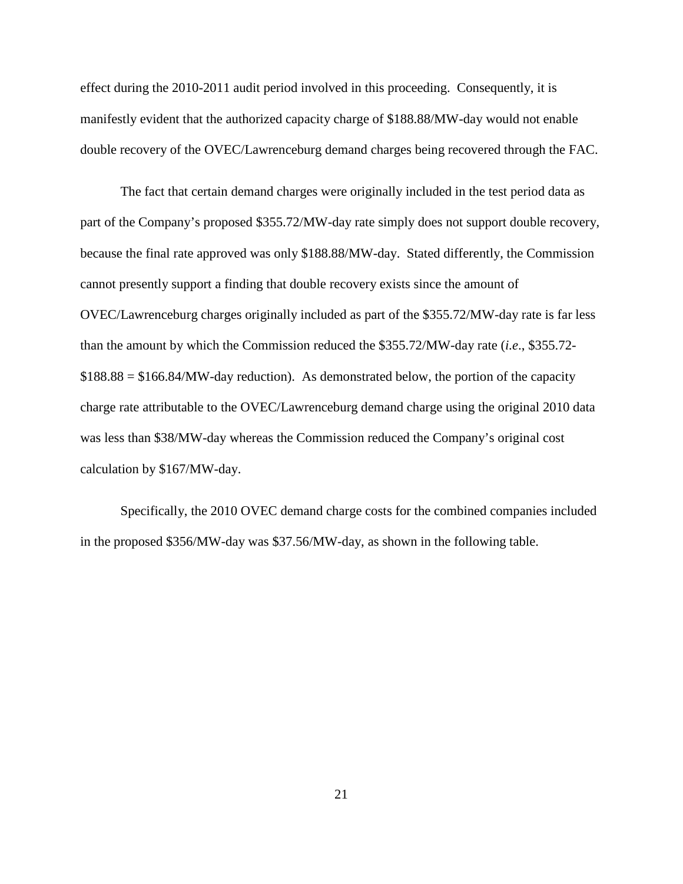effect during the 2010-2011 audit period involved in this proceeding. Consequently, it is manifestly evident that the authorized capacity charge of \$188.88/MW-day would not enable double recovery of the OVEC/Lawrenceburg demand charges being recovered through the FAC.

The fact that certain demand charges were originally included in the test period data as part of the Company's proposed \$355.72/MW-day rate simply does not support double recovery, because the final rate approved was only \$188.88/MW-day. Stated differently, the Commission cannot presently support a finding that double recovery exists since the amount of OVEC/Lawrenceburg charges originally included as part of the \$355.72/MW-day rate is far less than the amount by which the Commission reduced the \$355.72/MW-day rate (*i.e*., \$355.72-  $$188.88 = $166.84/MW$ -day reduction). As demonstrated below, the portion of the capacity charge rate attributable to the OVEC/Lawrenceburg demand charge using the original 2010 data was less than \$38/MW-day whereas the Commission reduced the Company's original cost calculation by \$167/MW-day.

Specifically, the 2010 OVEC demand charge costs for the combined companies included in the proposed \$356/MW-day was \$37.56/MW-day, as shown in the following table.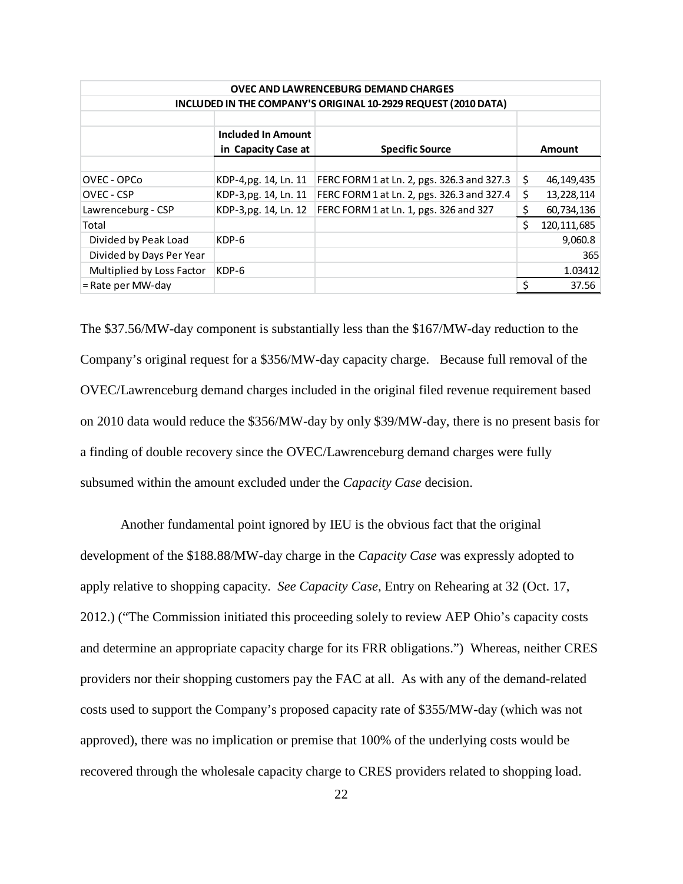| <b>OVEC AND LAWRENCEBURG DEMAND CHARGES</b>                    |                           |                                            |    |               |  |  |  |  |  |
|----------------------------------------------------------------|---------------------------|--------------------------------------------|----|---------------|--|--|--|--|--|
| INCLUDED IN THE COMPANY'S ORIGINAL 10-2929 REQUEST (2010 DATA) |                           |                                            |    |               |  |  |  |  |  |
|                                                                |                           |                                            |    |               |  |  |  |  |  |
|                                                                | <b>Included In Amount</b> |                                            |    |               |  |  |  |  |  |
|                                                                | in Capacity Case at       | <b>Specific Source</b>                     |    | Amount        |  |  |  |  |  |
|                                                                |                           |                                            |    |               |  |  |  |  |  |
| OVEC - OPCo                                                    | KDP-4,pg. 14, Ln. 11      | FERC FORM 1 at Ln. 2, pgs. 326.3 and 327.3 | \$ | 46,149,435    |  |  |  |  |  |
| OVEC - CSP                                                     | KDP-3,pg. 14, Ln. 11      | FERC FORM 1 at Ln. 2, pgs. 326.3 and 327.4 | \$ | 13,228,114    |  |  |  |  |  |
| Lawrenceburg - CSP                                             | KDP-3,pg. 14, Ln. 12      | FERC FORM 1 at Ln. 1, pgs. 326 and 327     | \$ | 60,734,136    |  |  |  |  |  |
| Total                                                          |                           |                                            | Ś. | 120, 111, 685 |  |  |  |  |  |
| Divided by Peak Load                                           | KDP-6                     |                                            |    | 9,060.8       |  |  |  |  |  |
| Divided by Days Per Year                                       |                           |                                            |    | 365           |  |  |  |  |  |
| Multiplied by Loss Factor                                      | KDP-6                     |                                            |    | 1.03412       |  |  |  |  |  |
| = Rate per MW-day                                              |                           |                                            | Ś  | 37.56         |  |  |  |  |  |

The \$37.56/MW-day component is substantially less than the \$167/MW-day reduction to the Company's original request for a \$356/MW-day capacity charge. Because full removal of the OVEC/Lawrenceburg demand charges included in the original filed revenue requirement based on 2010 data would reduce the \$356/MW-day by only \$39/MW-day, there is no present basis for a finding of double recovery since the OVEC/Lawrenceburg demand charges were fully subsumed within the amount excluded under the *Capacity Case* decision.

Another fundamental point ignored by IEU is the obvious fact that the original development of the \$188.88/MW-day charge in the *Capacity Case* was expressly adopted to apply relative to shopping capacity. *See Capacity Case*, Entry on Rehearing at 32 (Oct. 17, 2012.) ("The Commission initiated this proceeding solely to review AEP Ohio's capacity costs and determine an appropriate capacity charge for its FRR obligations.") Whereas, neither CRES providers nor their shopping customers pay the FAC at all. As with any of the demand-related costs used to support the Company's proposed capacity rate of \$355/MW-day (which was not approved), there was no implication or premise that 100% of the underlying costs would be recovered through the wholesale capacity charge to CRES providers related to shopping load.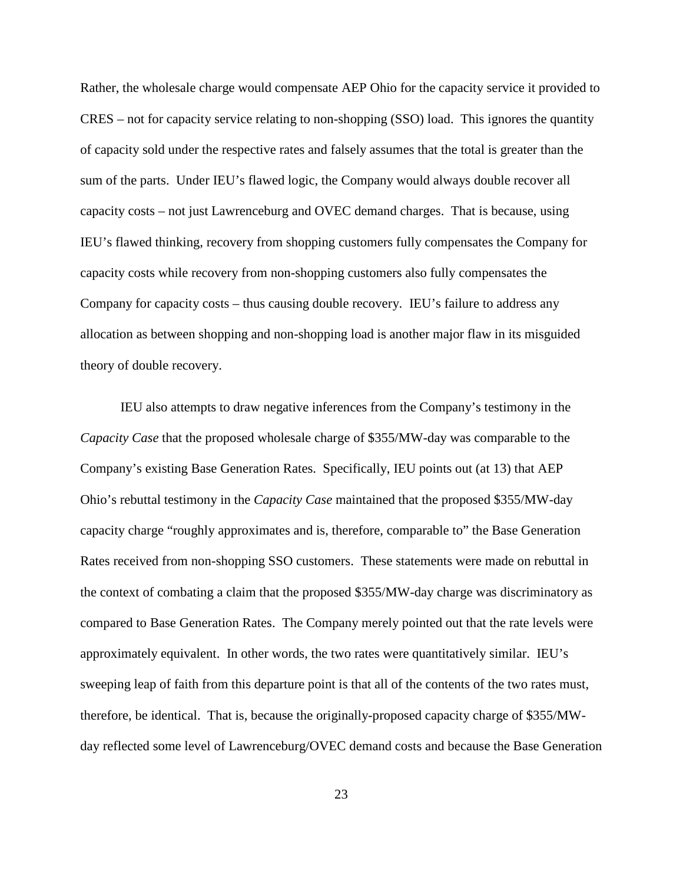Rather, the wholesale charge would compensate AEP Ohio for the capacity service it provided to CRES – not for capacity service relating to non-shopping (SSO) load. This ignores the quantity of capacity sold under the respective rates and falsely assumes that the total is greater than the sum of the parts. Under IEU's flawed logic, the Company would always double recover all capacity costs – not just Lawrenceburg and OVEC demand charges. That is because, using IEU's flawed thinking, recovery from shopping customers fully compensates the Company for capacity costs while recovery from non-shopping customers also fully compensates the Company for capacity costs – thus causing double recovery. IEU's failure to address any allocation as between shopping and non-shopping load is another major flaw in its misguided theory of double recovery.

IEU also attempts to draw negative inferences from the Company's testimony in the *Capacity Case* that the proposed wholesale charge of \$355/MW-day was comparable to the Company's existing Base Generation Rates. Specifically, IEU points out (at 13) that AEP Ohio's rebuttal testimony in the *Capacity Case* maintained that the proposed \$355/MW-day capacity charge "roughly approximates and is, therefore, comparable to" the Base Generation Rates received from non-shopping SSO customers. These statements were made on rebuttal in the context of combating a claim that the proposed \$355/MW-day charge was discriminatory as compared to Base Generation Rates. The Company merely pointed out that the rate levels were approximately equivalent. In other words, the two rates were quantitatively similar. IEU's sweeping leap of faith from this departure point is that all of the contents of the two rates must, therefore, be identical. That is, because the originally-proposed capacity charge of \$355/MWday reflected some level of Lawrenceburg/OVEC demand costs and because the Base Generation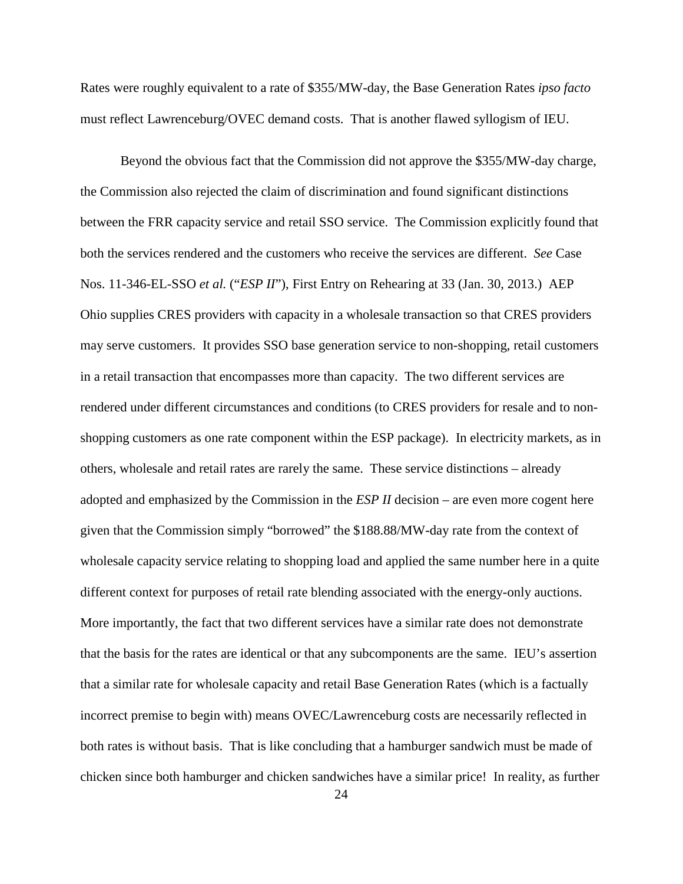Rates were roughly equivalent to a rate of \$355/MW-day, the Base Generation Rates *ipso facto* must reflect Lawrenceburg/OVEC demand costs. That is another flawed syllogism of IEU.

Beyond the obvious fact that the Commission did not approve the \$355/MW-day charge, the Commission also rejected the claim of discrimination and found significant distinctions between the FRR capacity service and retail SSO service. The Commission explicitly found that both the services rendered and the customers who receive the services are different. *See* Case Nos. 11-346-EL-SSO *et al.* ("*ESP II*"), First Entry on Rehearing at 33 (Jan. 30, 2013.) AEP Ohio supplies CRES providers with capacity in a wholesale transaction so that CRES providers may serve customers. It provides SSO base generation service to non-shopping, retail customers in a retail transaction that encompasses more than capacity. The two different services are rendered under different circumstances and conditions (to CRES providers for resale and to nonshopping customers as one rate component within the ESP package). In electricity markets, as in others, wholesale and retail rates are rarely the same. These service distinctions – already adopted and emphasized by the Commission in the *ESP II* decision – are even more cogent here given that the Commission simply "borrowed" the \$188.88/MW-day rate from the context of wholesale capacity service relating to shopping load and applied the same number here in a quite different context for purposes of retail rate blending associated with the energy-only auctions. More importantly, the fact that two different services have a similar rate does not demonstrate that the basis for the rates are identical or that any subcomponents are the same. IEU's assertion that a similar rate for wholesale capacity and retail Base Generation Rates (which is a factually incorrect premise to begin with) means OVEC/Lawrenceburg costs are necessarily reflected in both rates is without basis. That is like concluding that a hamburger sandwich must be made of chicken since both hamburger and chicken sandwiches have a similar price! In reality, as further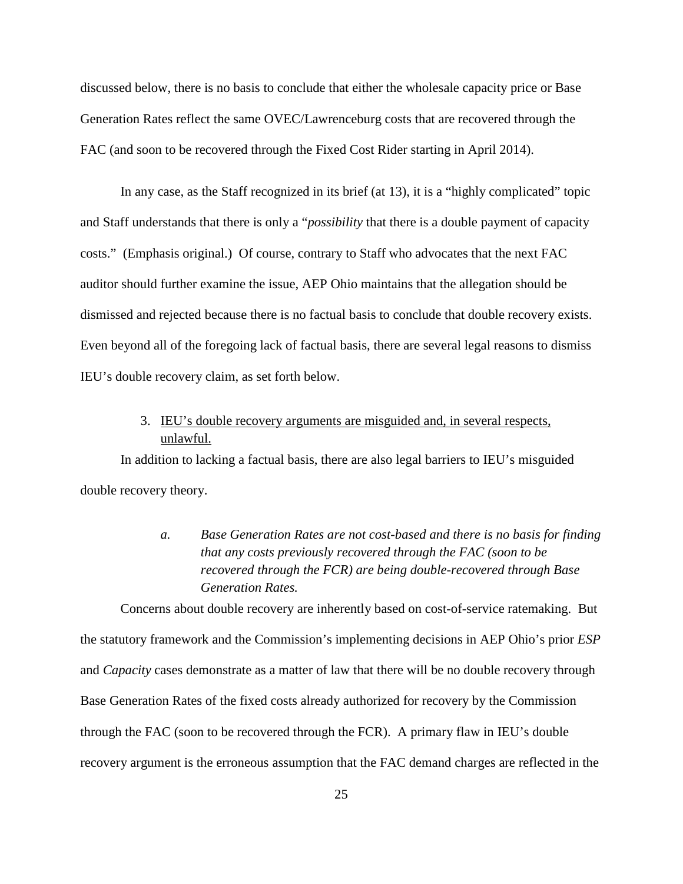discussed below, there is no basis to conclude that either the wholesale capacity price or Base Generation Rates reflect the same OVEC/Lawrenceburg costs that are recovered through the FAC (and soon to be recovered through the Fixed Cost Rider starting in April 2014).

In any case, as the Staff recognized in its brief (at 13), it is a "highly complicated" topic and Staff understands that there is only a "*possibility* that there is a double payment of capacity costs." (Emphasis original.) Of course, contrary to Staff who advocates that the next FAC auditor should further examine the issue, AEP Ohio maintains that the allegation should be dismissed and rejected because there is no factual basis to conclude that double recovery exists. Even beyond all of the foregoing lack of factual basis, there are several legal reasons to dismiss IEU's double recovery claim, as set forth below.

## 3. IEU's double recovery arguments are misguided and, in several respects, unlawful.

<span id="page-27-1"></span><span id="page-27-0"></span>In addition to lacking a factual basis, there are also legal barriers to IEU's misguided double recovery theory.

> *a. Base Generation Rates are not cost-based and there is no basis for finding that any costs previously recovered through the FAC (soon to be recovered through the FCR) are being double-recovered through Base Generation Rates.*

Concerns about double recovery are inherently based on cost-of-service ratemaking. But the statutory framework and the Commission's implementing decisions in AEP Ohio's prior *ESP* and *Capacity* cases demonstrate as a matter of law that there will be no double recovery through Base Generation Rates of the fixed costs already authorized for recovery by the Commission through the FAC (soon to be recovered through the FCR). A primary flaw in IEU's double recovery argument is the erroneous assumption that the FAC demand charges are reflected in the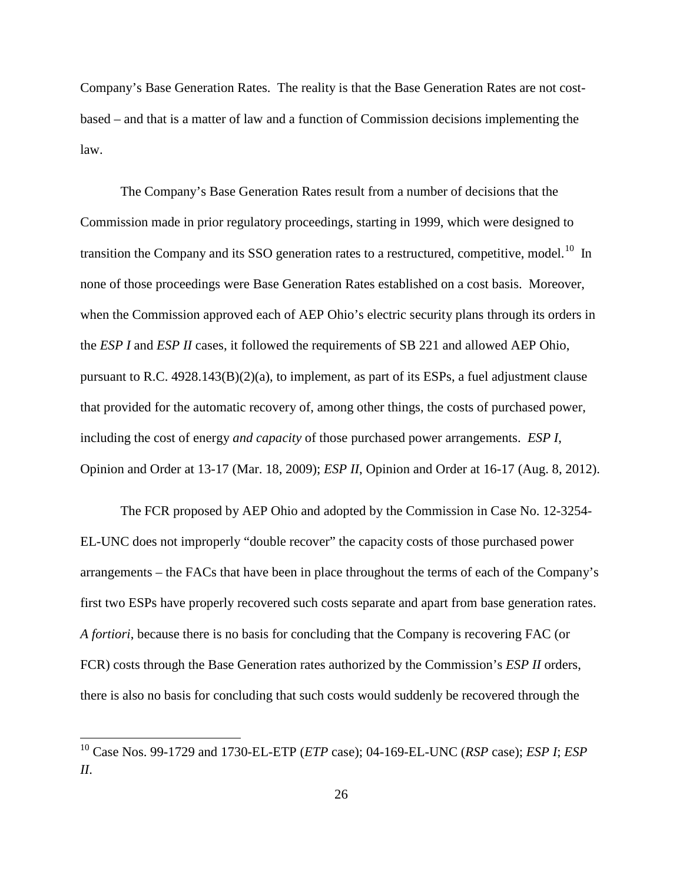Company's Base Generation Rates. The reality is that the Base Generation Rates are not costbased – and that is a matter of law and a function of Commission decisions implementing the law.

The Company's Base Generation Rates result from a number of decisions that the Commission made in prior regulatory proceedings, starting in 1999, which were designed to transition the Company and its SSO generation rates to a restructured, competitive, model.<sup>10</sup> In none of those proceedings were Base Generation Rates established on a cost basis. Moreover, when the Commission approved each of AEP Ohio's electric security plans through its orders in the *ESP I* and *ESP II* cases, it followed the requirements of SB 221 and allowed AEP Ohio, pursuant to R.C.  $4928.143(B)(2)(a)$ , to implement, as part of its ESPs, a fuel adjustment clause that provided for the automatic recovery of, among other things, the costs of purchased power, including the cost of energy *and capacity* of those purchased power arrangements. *ESP I*, Opinion and Order at 13-17 (Mar. 18, 2009); *ESP II*, Opinion and Order at 16-17 (Aug. 8, 2012).

The FCR proposed by AEP Ohio and adopted by the Commission in Case No. 12-3254- EL-UNC does not improperly "double recover" the capacity costs of those purchased power arrangements – the FACs that have been in place throughout the terms of each of the Company's first two ESPs have properly recovered such costs separate and apart from base generation rates. *A fortiori*, because there is no basis for concluding that the Company is recovering FAC (or FCR) costs through the Base Generation rates authorized by the Commission's *ESP II* orders, there is also no basis for concluding that such costs would suddenly be recovered through the

<span id="page-28-0"></span><sup>10</sup> Case Nos. 99-1729 and 1730-EL-ETP (*ETP* case); 04-169-EL-UNC (*RSP* case); *ESP I*; *ESP II*.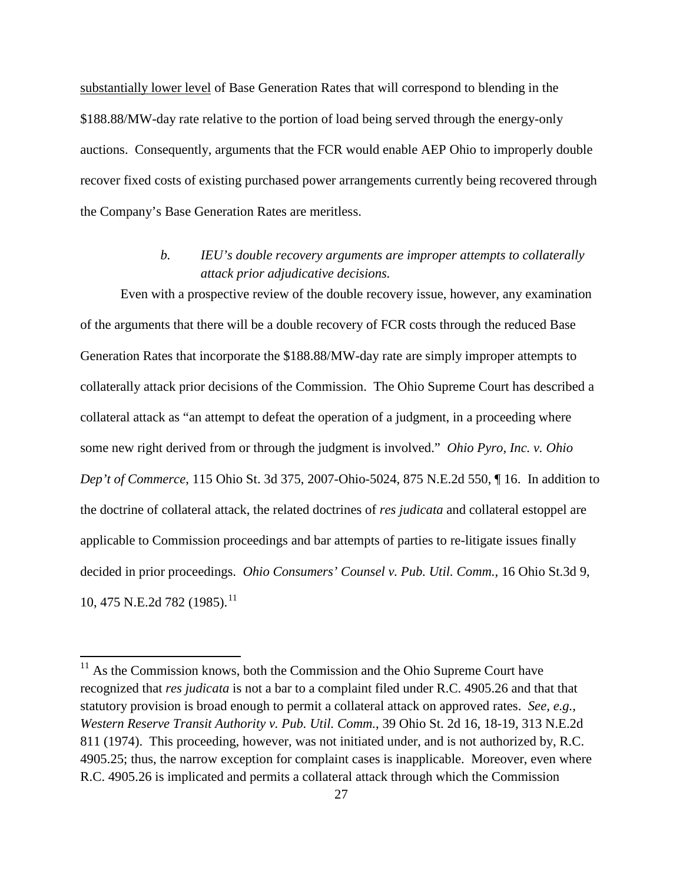substantially lower level of Base Generation Rates that will correspond to blending in the \$188.88/MW-day rate relative to the portion of load being served through the energy-only auctions. Consequently, arguments that the FCR would enable AEP Ohio to improperly double recover fixed costs of existing purchased power arrangements currently being recovered through the Company's Base Generation Rates are meritless.

## *b. IEU's double recovery arguments are improper attempts to collaterally attack prior adjudicative decisions.*

<span id="page-29-0"></span>Even with a prospective review of the double recovery issue, however, any examination of the arguments that there will be a double recovery of FCR costs through the reduced Base Generation Rates that incorporate the \$188.88/MW-day rate are simply improper attempts to collaterally attack prior decisions of the Commission. The Ohio Supreme Court has described a collateral attack as "an attempt to defeat the operation of a judgment, in a proceeding where some new right derived from or through the judgment is involved." *Ohio Pyro, Inc. v. Ohio Dep't of Commerce*, 115 Ohio St. 3d 375, 2007-Ohio-5024, 875 N.E.2d 550, ¶ 16. In addition to the doctrine of collateral attack, the related doctrines of *res judicata* and collateral estoppel are applicable to Commission proceedings and bar attempts of parties to re-litigate issues finally decided in prior proceedings. *Ohio Consumers' Counsel v. Pub. Util. Comm.,* 16 Ohio St.3d 9, 10, 475 N.E.2d 782 (1985).<sup>11</sup>

<span id="page-29-1"></span> $11$  As the Commission knows, both the Commission and the Ohio Supreme Court have recognized that *res judicata* is not a bar to a complaint filed under R.C. 4905.26 and that that statutory provision is broad enough to permit a collateral attack on approved rates. *See, e.g., Western Reserve Transit Authority v. Pub. Util. Comm.*, 39 Ohio St. 2d 16, 18-19, 313 N.E.2d 811 (1974). This proceeding, however, was not initiated under, and is not authorized by, R.C. 4905.25; thus, the narrow exception for complaint cases is inapplicable. Moreover, even where R.C. 4905.26 is implicated and permits a collateral attack through which the Commission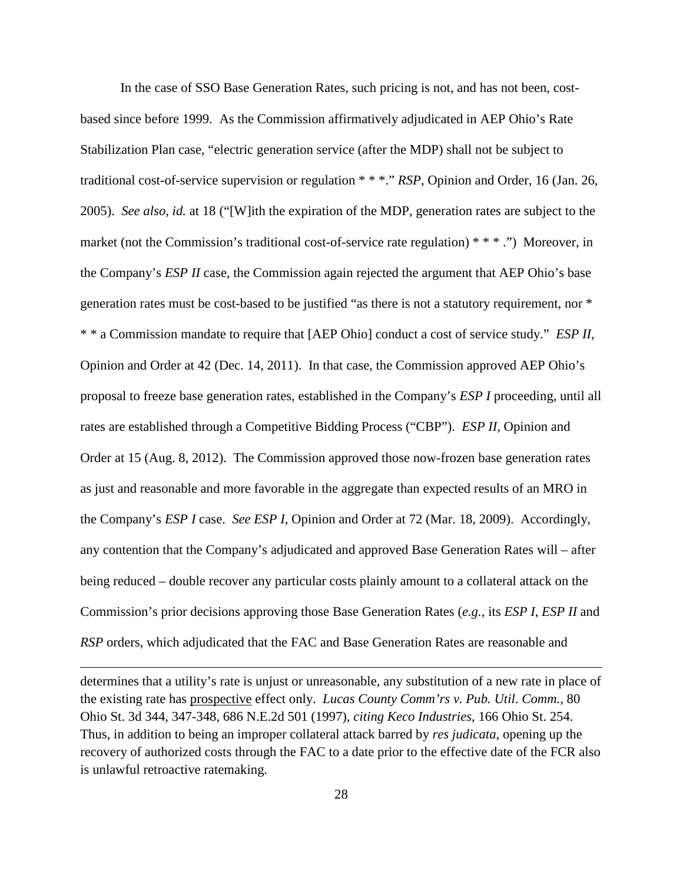In the case of SSO Base Generation Rates, such pricing is not, and has not been, costbased since before 1999. As the Commission affirmatively adjudicated in AEP Ohio's Rate Stabilization Plan case, "electric generation service (after the MDP) shall not be subject to traditional cost-of-service supervision or regulation \* \* \*." *RSP*, Opinion and Order, 16 (Jan. 26, 2005). *See also, id.* at 18 ("[W]ith the expiration of the MDP, generation rates are subject to the market (not the Commission's traditional cost-of-service rate regulation) \* \* \*.") Moreover, in the Company's *ESP II* case, the Commission again rejected the argument that AEP Ohio's base generation rates must be cost-based to be justified "as there is not a statutory requirement, nor \* \* \* a Commission mandate to require that [AEP Ohio] conduct a cost of service study." *ESP II*, Opinion and Order at 42 (Dec. 14, 2011). In that case, the Commission approved AEP Ohio's proposal to freeze base generation rates, established in the Company's *ESP I* proceeding, until all rates are established through a Competitive Bidding Process ("CBP"). *ESP II*, Opinion and Order at 15 (Aug. 8, 2012). The Commission approved those now-frozen base generation rates as just and reasonable and more favorable in the aggregate than expected results of an MRO in the Company's *ESP I* case. *See ESP I*, Opinion and Order at 72 (Mar. 18, 2009). Accordingly, any contention that the Company's adjudicated and approved Base Generation Rates will – after being reduced – double recover any particular costs plainly amount to a collateral attack on the Commission's prior decisions approving those Base Generation Rates (*e.g.*, its *ESP I*, *ESP II* and *RSP* orders, which adjudicated that the FAC and Base Generation Rates are reasonable and

determines that a utility's rate is unjust or unreasonable, any substitution of a new rate in place of the existing rate has prospective effect only. *Lucas County Comm'rs v. Pub. Util. Comm.*, 80 Ohio St. 3d 344, 347-348, 686 N.E.2d 501 (1997), *citing Keco Industries*, 166 Ohio St. 254. Thus, in addition to being an improper collateral attack barred by *res judicata*, opening up the recovery of authorized costs through the FAC to a date prior to the effective date of the FCR also is unlawful retroactive ratemaking.

l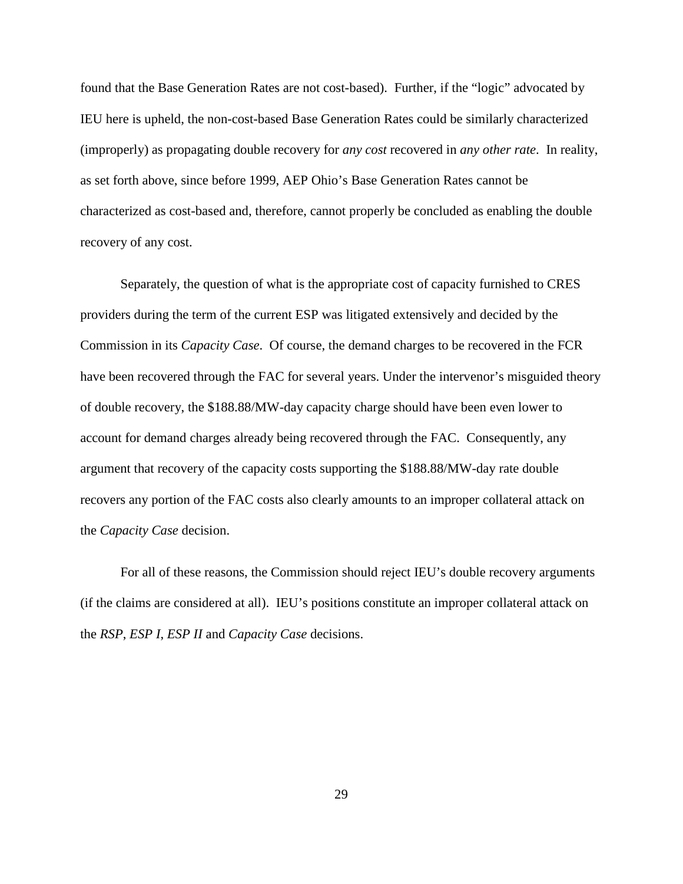found that the Base Generation Rates are not cost-based). Further, if the "logic" advocated by IEU here is upheld, the non-cost-based Base Generation Rates could be similarly characterized (improperly) as propagating double recovery for *any cost* recovered in *any other rate*. In reality, as set forth above, since before 1999, AEP Ohio's Base Generation Rates cannot be characterized as cost-based and, therefore, cannot properly be concluded as enabling the double recovery of any cost.

Separately, the question of what is the appropriate cost of capacity furnished to CRES providers during the term of the current ESP was litigated extensively and decided by the Commission in its *Capacity Case*. Of course, the demand charges to be recovered in the FCR have been recovered through the FAC for several years. Under the intervenor's misguided theory of double recovery, the \$188.88/MW-day capacity charge should have been even lower to account for demand charges already being recovered through the FAC. Consequently, any argument that recovery of the capacity costs supporting the \$188.88/MW-day rate double recovers any portion of the FAC costs also clearly amounts to an improper collateral attack on the *Capacity Case* decision.

For all of these reasons, the Commission should reject IEU's double recovery arguments (if the claims are considered at all). IEU's positions constitute an improper collateral attack on the *RSP*, *ESP I*, *ESP II* and *Capacity Case* decisions.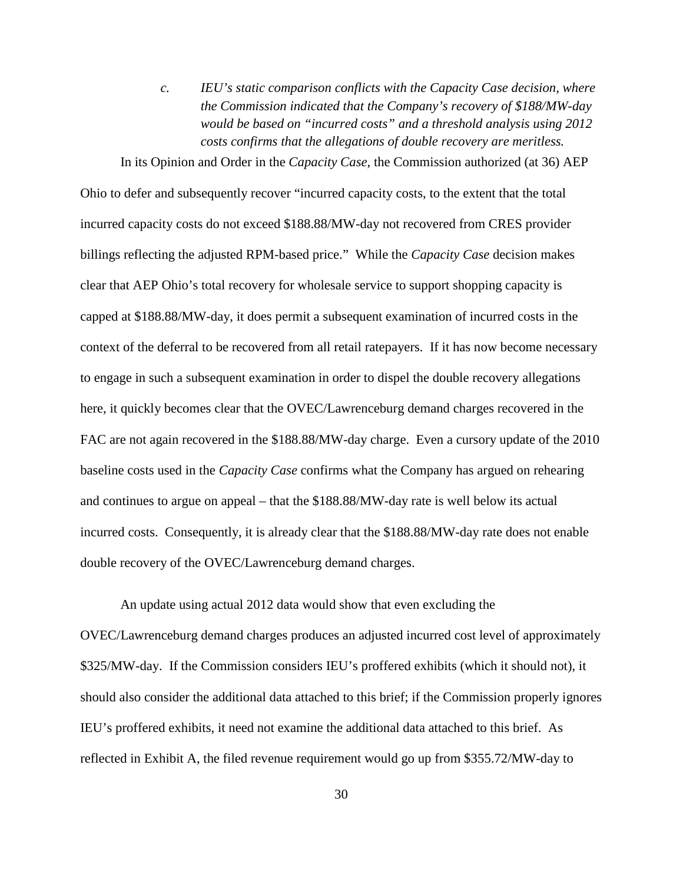<span id="page-32-0"></span>*c. IEU's static comparison conflicts with the Capacity Case decision, where the Commission indicated that the Company's recovery of \$188/MW-day would be based on "incurred costs" and a threshold analysis using 2012 costs confirms that the allegations of double recovery are meritless.* 

In its Opinion and Order in the *Capacity Case*, the Commission authorized (at 36) AEP

Ohio to defer and subsequently recover "incurred capacity costs, to the extent that the total incurred capacity costs do not exceed \$188.88/MW-day not recovered from CRES provider billings reflecting the adjusted RPM-based price." While the *Capacity Case* decision makes clear that AEP Ohio's total recovery for wholesale service to support shopping capacity is capped at \$188.88/MW-day, it does permit a subsequent examination of incurred costs in the context of the deferral to be recovered from all retail ratepayers. If it has now become necessary to engage in such a subsequent examination in order to dispel the double recovery allegations here, it quickly becomes clear that the OVEC/Lawrenceburg demand charges recovered in the FAC are not again recovered in the \$188.88/MW-day charge. Even a cursory update of the 2010 baseline costs used in the *Capacity Case* confirms what the Company has argued on rehearing and continues to argue on appeal – that the \$188.88/MW-day rate is well below its actual incurred costs. Consequently, it is already clear that the \$188.88/MW-day rate does not enable double recovery of the OVEC/Lawrenceburg demand charges.

An update using actual 2012 data would show that even excluding the OVEC/Lawrenceburg demand charges produces an adjusted incurred cost level of approximately \$325/MW-day. If the Commission considers IEU's proffered exhibits (which it should not), it should also consider the additional data attached to this brief; if the Commission properly ignores IEU's proffered exhibits, it need not examine the additional data attached to this brief. As reflected in Exhibit A, the filed revenue requirement would go up from \$355.72/MW-day to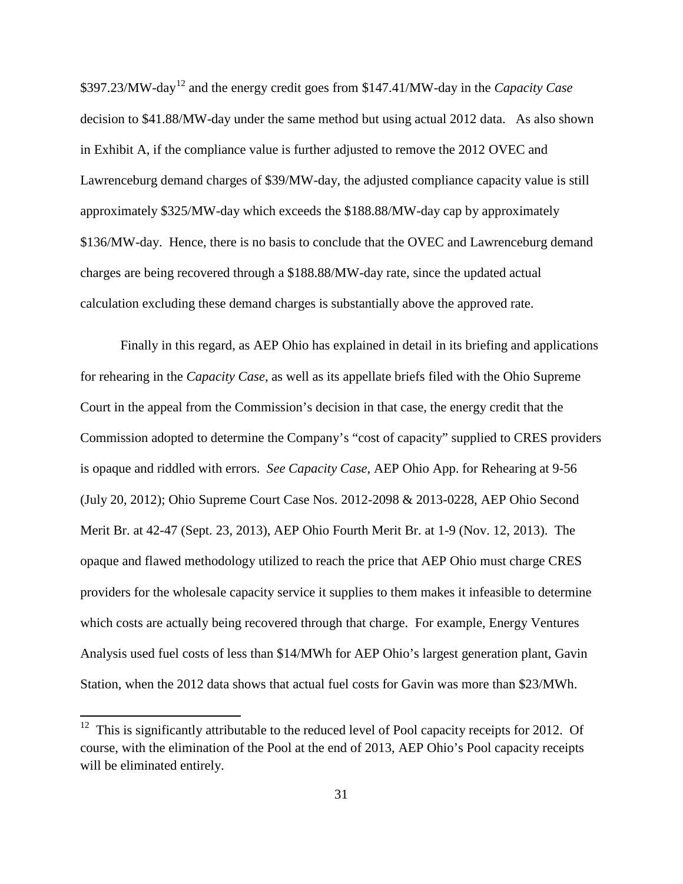\$397.23/MW-day[12](#page-33-0) and the energy credit goes from \$147.41/MW-day in the *Capacity Case* decision to \$41.88/MW-day under the same method but using actual 2012 data. As also shown in Exhibit A, if the compliance value is further adjusted to remove the 2012 OVEC and Lawrenceburg demand charges of \$39/MW-day, the adjusted compliance capacity value is still approximately \$325/MW-day which exceeds the \$188.88/MW-day cap by approximately \$136/MW-day. Hence, there is no basis to conclude that the OVEC and Lawrenceburg demand charges are being recovered through a \$188.88/MW-day rate, since the updated actual calculation excluding these demand charges is substantially above the approved rate.

Finally in this regard, as AEP Ohio has explained in detail in its briefing and applications for rehearing in the *Capacity Case*, as well as its appellate briefs filed with the Ohio Supreme Court in the appeal from the Commission's decision in that case, the energy credit that the Commission adopted to determine the Company's "cost of capacity" supplied to CRES providers is opaque and riddled with errors. *See Capacity Case*, AEP Ohio App. for Rehearing at 9-56 (July 20, 2012); Ohio Supreme Court Case Nos. 2012-2098 & 2013-0228, AEP Ohio Second Merit Br. at 42-47 (Sept. 23, 2013), AEP Ohio Fourth Merit Br. at 1-9 (Nov. 12, 2013). The opaque and flawed methodology utilized to reach the price that AEP Ohio must charge CRES providers for the wholesale capacity service it supplies to them makes it infeasible to determine which costs are actually being recovered through that charge. For example, Energy Ventures Analysis used fuel costs of less than \$14/MWh for AEP Ohio's largest generation plant, Gavin Station, when the 2012 data shows that actual fuel costs for Gavin was more than \$23/MWh.

<span id="page-33-0"></span> $12$  This is significantly attributable to the reduced level of Pool capacity receipts for 2012. Of course, with the elimination of the Pool at the end of 2013, AEP Ohio's Pool capacity receipts will be eliminated entirely.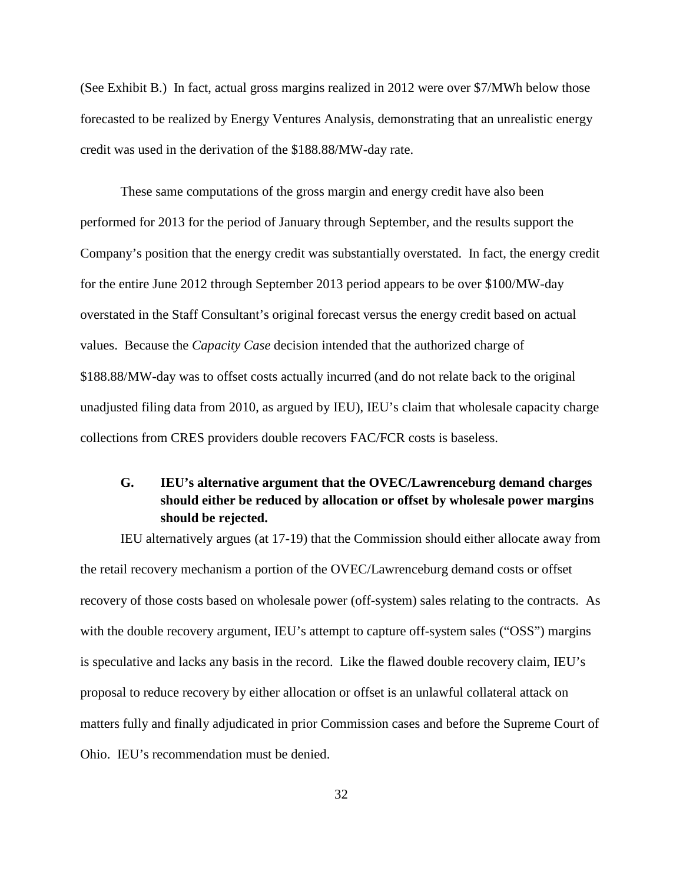(See Exhibit B.) In fact, actual gross margins realized in 2012 were over \$7/MWh below those forecasted to be realized by Energy Ventures Analysis, demonstrating that an unrealistic energy credit was used in the derivation of the \$188.88/MW-day rate.

These same computations of the gross margin and energy credit have also been performed for 2013 for the period of January through September, and the results support the Company's position that the energy credit was substantially overstated. In fact, the energy credit for the entire June 2012 through September 2013 period appears to be over \$100/MW-day overstated in the Staff Consultant's original forecast versus the energy credit based on actual values. Because the *Capacity Case* decision intended that the authorized charge of \$188.88/MW-day was to offset costs actually incurred (and do not relate back to the original unadjusted filing data from 2010, as argued by IEU), IEU's claim that wholesale capacity charge collections from CRES providers double recovers FAC/FCR costs is baseless.

## <span id="page-34-0"></span>**G. IEU's alternative argument that the OVEC/Lawrenceburg demand charges should either be reduced by allocation or offset by wholesale power margins should be rejected.**

IEU alternatively argues (at 17-19) that the Commission should either allocate away from the retail recovery mechanism a portion of the OVEC/Lawrenceburg demand costs or offset recovery of those costs based on wholesale power (off-system) sales relating to the contracts. As with the double recovery argument, IEU's attempt to capture of f-system sales ("OSS") margins is speculative and lacks any basis in the record. Like the flawed double recovery claim, IEU's proposal to reduce recovery by either allocation or offset is an unlawful collateral attack on matters fully and finally adjudicated in prior Commission cases and before the Supreme Court of Ohio. IEU's recommendation must be denied.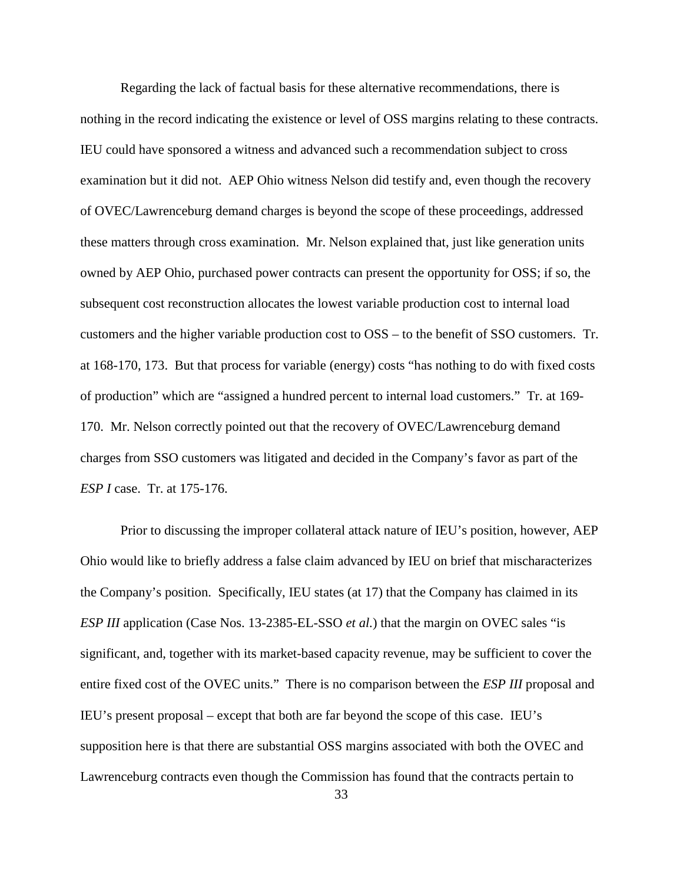Regarding the lack of factual basis for these alternative recommendations, there is nothing in the record indicating the existence or level of OSS margins relating to these contracts. IEU could have sponsored a witness and advanced such a recommendation subject to cross examination but it did not. AEP Ohio witness Nelson did testify and, even though the recovery of OVEC/Lawrenceburg demand charges is beyond the scope of these proceedings, addressed these matters through cross examination. Mr. Nelson explained that, just like generation units owned by AEP Ohio, purchased power contracts can present the opportunity for OSS; if so, the subsequent cost reconstruction allocates the lowest variable production cost to internal load customers and the higher variable production cost to OSS – to the benefit of SSO customers. Tr. at 168-170, 173. But that process for variable (energy) costs "has nothing to do with fixed costs of production" which are "assigned a hundred percent to internal load customers." Tr. at 169- 170. Mr. Nelson correctly pointed out that the recovery of OVEC/Lawrenceburg demand charges from SSO customers was litigated and decided in the Company's favor as part of the *ESP I* case. Tr. at 175-176.

Prior to discussing the improper collateral attack nature of IEU's position, however, AEP Ohio would like to briefly address a false claim advanced by IEU on brief that mischaracterizes the Company's position. Specifically, IEU states (at 17) that the Company has claimed in its *ESP III* application (Case Nos. 13-2385-EL-SSO *et al.*) that the margin on OVEC sales "is significant, and, together with its market-based capacity revenue, may be sufficient to cover the entire fixed cost of the OVEC units." There is no comparison between the *ESP III* proposal and IEU's present proposal – except that both are far beyond the scope of this case. IEU's supposition here is that there are substantial OSS margins associated with both the OVEC and Lawrenceburg contracts even though the Commission has found that the contracts pertain to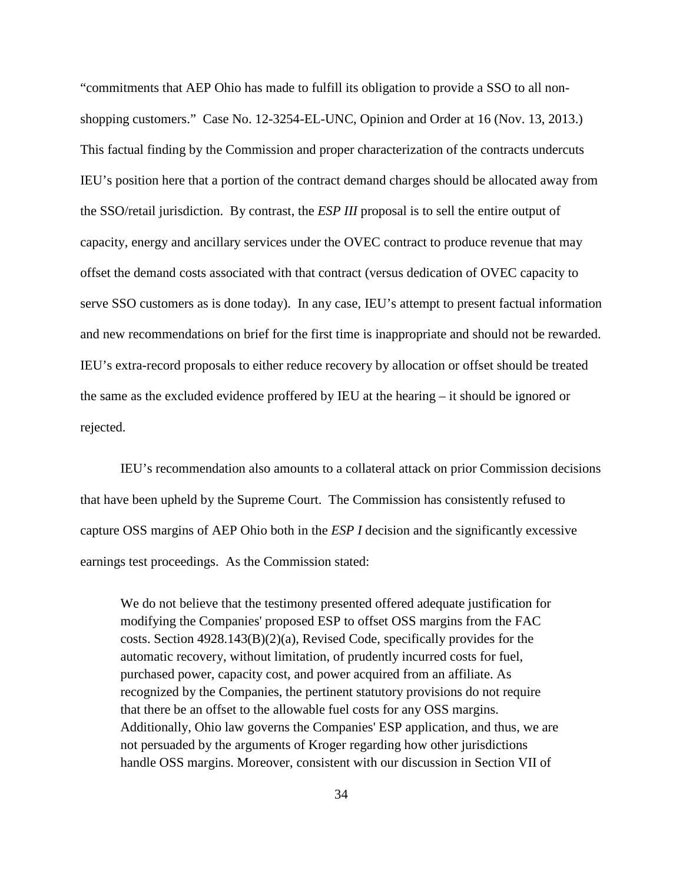"commitments that AEP Ohio has made to fulfill its obligation to provide a SSO to all nonshopping customers." Case No. 12-3254-EL-UNC, Opinion and Order at 16 (Nov. 13, 2013.) This factual finding by the Commission and proper characterization of the contracts undercuts IEU's position here that a portion of the contract demand charges should be allocated away from the SSO/retail jurisdiction. By contrast, the *ESP III* proposal is to sell the entire output of capacity, energy and ancillary services under the OVEC contract to produce revenue that may offset the demand costs associated with that contract (versus dedication of OVEC capacity to serve SSO customers as is done today). In any case, IEU's attempt to present factual information and new recommendations on brief for the first time is inappropriate and should not be rewarded. IEU's extra-record proposals to either reduce recovery by allocation or offset should be treated the same as the excluded evidence proffered by IEU at the hearing – it should be ignored or rejected.

IEU's recommendation also amounts to a collateral attack on prior Commission decisions that have been upheld by the Supreme Court. The Commission has consistently refused to capture OSS margins of AEP Ohio both in the *ESP I* decision and the significantly excessive earnings test proceedings. As the Commission stated:

We do not believe that the testimony presented offered adequate justification for modifying the Companies' proposed ESP to offset OSS margins from the FAC costs. Section 4928.143(B)(2)(a), Revised Code, specifically provides for the automatic recovery, without limitation, of prudently incurred costs for fuel, purchased power, capacity cost, and power acquired from an affiliate. As recognized by the Companies, the pertinent statutory provisions do not require that there be an offset to the allowable fuel costs for any OSS margins. Additionally, Ohio law governs the Companies' ESP application, and thus, we are not persuaded by the arguments of Kroger regarding how other jurisdictions handle OSS margins. Moreover, consistent with our discussion in Section VII of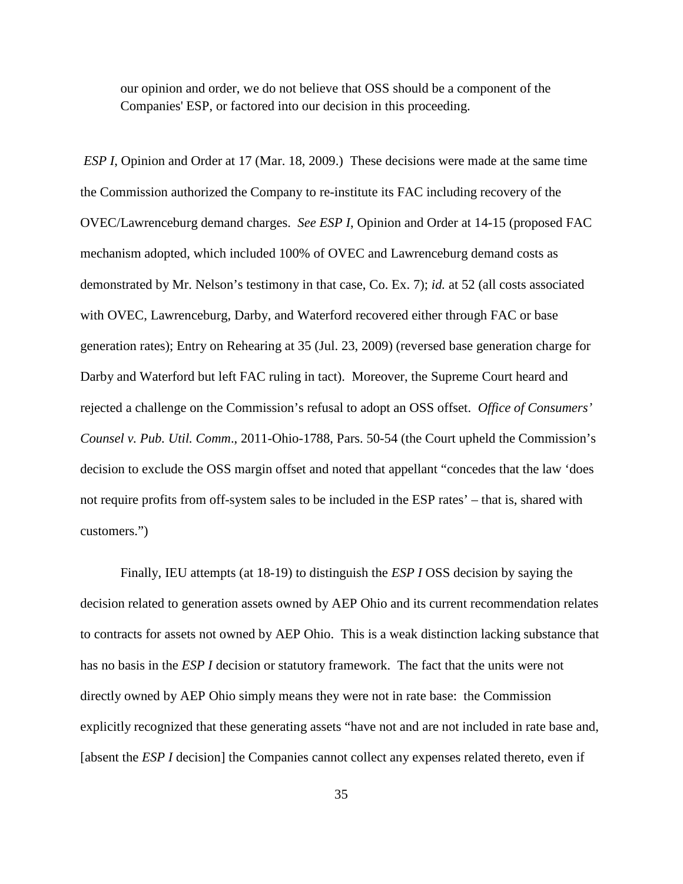our opinion and order, we do not believe that OSS should be a component of the Companies' ESP, or factored into our decision in this proceeding.

*ESP I*, Opinion and Order at 17 (Mar. 18, 2009.) These decisions were made at the same time the Commission authorized the Company to re-institute its FAC including recovery of the OVEC/Lawrenceburg demand charges. *See ESP I*, Opinion and Order at 14-15 (proposed FAC mechanism adopted, which included 100% of OVEC and Lawrenceburg demand costs as demonstrated by Mr. Nelson's testimony in that case, Co. Ex. 7); *id.* at 52 (all costs associated with OVEC, Lawrenceburg, Darby, and Waterford recovered either through FAC or base generation rates); Entry on Rehearing at 35 (Jul. 23, 2009) (reversed base generation charge for Darby and Waterford but left FAC ruling in tact). Moreover, the Supreme Court heard and rejected a challenge on the Commission's refusal to adopt an OSS offset. *Office of Consumers' Counsel v. Pub. Util. Comm*., 2011-Ohio-1788, Pars. 50-54 (the Court upheld the Commission's decision to exclude the OSS margin offset and noted that appellant "concedes that the law 'does not require profits from off-system sales to be included in the ESP rates' – that is, shared with customers.")

Finally, IEU attempts (at 18-19) to distinguish the *ESP I* OSS decision by saying the decision related to generation assets owned by AEP Ohio and its current recommendation relates to contracts for assets not owned by AEP Ohio. This is a weak distinction lacking substance that has no basis in the *ESP I* decision or statutory framework. The fact that the units were not directly owned by AEP Ohio simply means they were not in rate base: the Commission explicitly recognized that these generating assets "have not and are not included in rate base and, [absent the *ESP I* decision] the Companies cannot collect any expenses related thereto, even if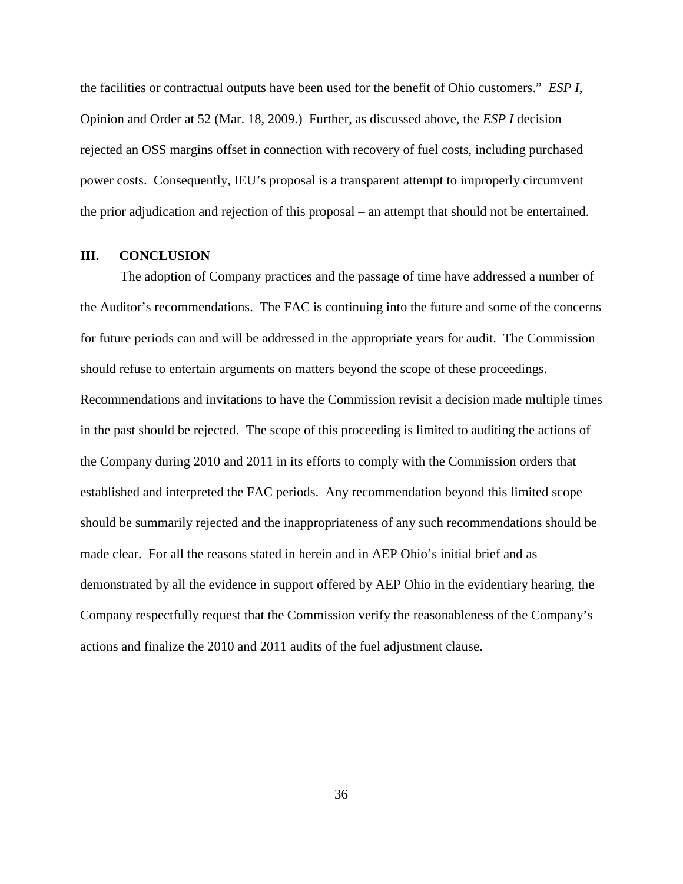the facilities or contractual outputs have been used for the benefit of Ohio customers." *ESP I*, Opinion and Order at 52 (Mar. 18, 2009.) Further, as discussed above, the *ESP I* decision rejected an OSS margins offset in connection with recovery of fuel costs, including purchased power costs. Consequently, IEU's proposal is a transparent attempt to improperly circumvent the prior adjudication and rejection of this proposal – an attempt that should not be entertained.

#### <span id="page-38-0"></span>**III. CONCLUSION**

The adoption of Company practices and the passage of time have addressed a number of the Auditor's recommendations. The FAC is continuing into the future and some of the concerns for future periods can and will be addressed in the appropriate years for audit. The Commission should refuse to entertain arguments on matters beyond the scope of these proceedings. Recommendations and invitations to have the Commission revisit a decision made multiple times in the past should be rejected. The scope of this proceeding is limited to auditing the actions of the Company during 2010 and 2011 in its efforts to comply with the Commission orders that established and interpreted the FAC periods. Any recommendation beyond this limited scope should be summarily rejected and the inappropriateness of any such recommendations should be made clear. For all the reasons stated in herein and in AEP Ohio's initial brief and as demonstrated by all the evidence in support offered by AEP Ohio in the evidentiary hearing, the Company respectfully request that the Commission verify the reasonableness of the Company's actions and finalize the 2010 and 2011 audits of the fuel adjustment clause.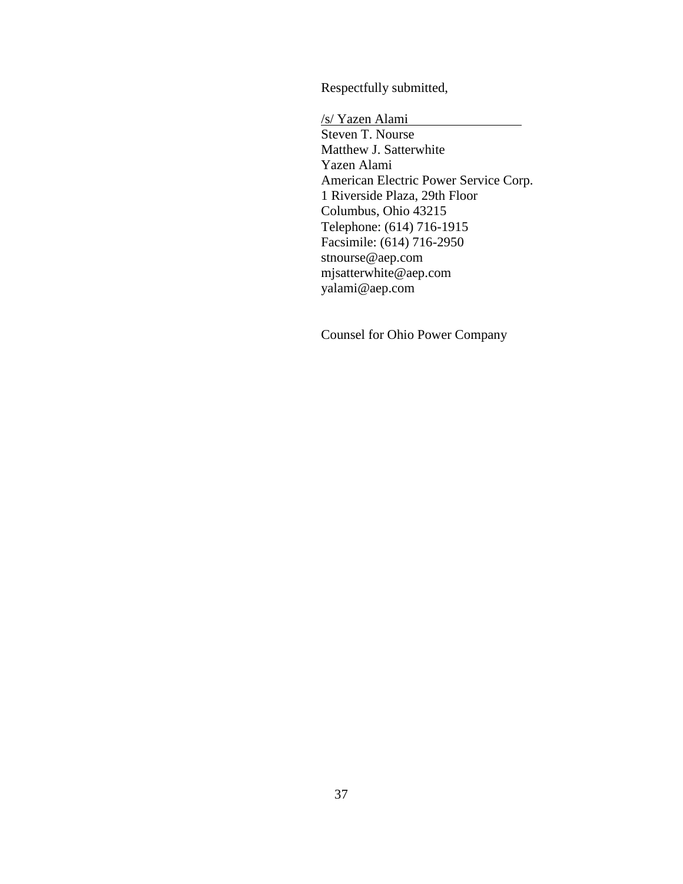Respectfully submitted,

/s/ Yazen Alami Steven T. Nourse Matthew J. Satterwhite Yazen Alami American Electric Power Service Corp. 1 Riverside Plaza, 29th Floor Columbus, Ohio 43215 Telephone: (614) 716-1915 Facsimile: (614) 716-2950 stnourse@aep.com mjsatterwhite@aep.com yalami@aep.com

Counsel for Ohio Power Company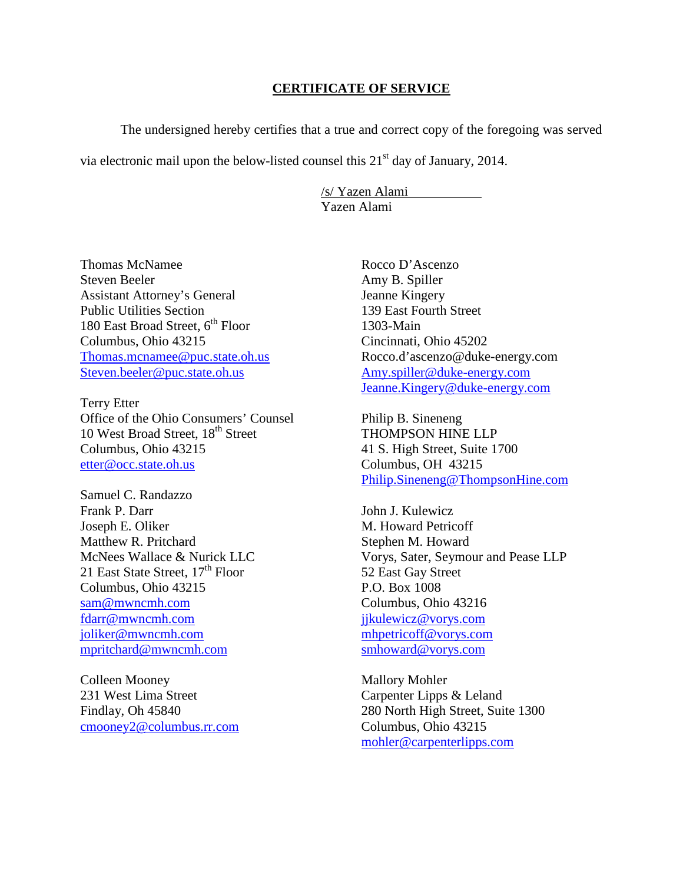#### **CERTIFICATE OF SERVICE**

The undersigned hereby certifies that a true and correct copy of the foregoing was served

via electronic mail upon the below-listed counsel this  $21<sup>st</sup>$  day of January, 2014.

/s/ Yazen Alami Yazen Alami

Thomas McNamee Steven Beeler Assistant Attorney's General Public Utilities Section 180 East Broad Street, 6<sup>th</sup> Floor Columbus, Ohio 43215 [Thomas.mcnamee@puc.state.oh.us](mailto:Thomas.mcnamee@puc.state.oh.us) [Steven.beeler@puc.state.oh.us](mailto:Steven.beeler@puc.state.oh.us)

Terry Etter Office of the Ohio Consumers' Counsel 10 West Broad Street, 18<sup>th</sup> Street Columbus, Ohio 43215 [etter@occ.state.oh.us](mailto:etter@occ.state.oh.us)

Samuel C. Randazzo Frank P. Darr Joseph E. Oliker Matthew R. Pritchard McNees Wallace & Nurick LLC 21 East State Street,  $17<sup>th</sup>$  Floor Columbus, Ohio 43215 [sam@mwncmh.com](mailto:sam@mwncmh.com) [fdarr@mwncmh.com](mailto:fdarr@mwncmh.com) [joliker@mwncmh.com](mailto:joliker@mwncmh.com) mpritchard@mwncmh.com

Colleen Mooney 231 West Lima Street Findlay, Oh 45840 [cmooney2@columbus.rr.com](mailto:cmooney2@columbus.rr.com) Rocco D'Ascenzo Amy B. Spiller Jeanne Kingery 139 East Fourth Street 1303-Main Cincinnati, Ohio 45202 Rocco.d'ascenzo@duke-energy.com [Amy.spiller@duke-energy.com](mailto:Amy.spiller@duke-energy.com) [Jeanne.Kingery@duke-energy.com](mailto:Jeanne.Kingery@duke-energy.com)

Philip B. Sineneng THOMPSON HINE LLP 41 S. High Street, Suite 1700 Columbus, OH 43215 [Philip.Sineneng@ThompsonHine.com](mailto:Philip.Sineneng@ThompsonHine.com)

John J. Kulewicz M. Howard Petricoff Stephen M. Howard Vorys, Sater, Seymour and Pease LLP 52 East Gay Street P.O. Box 1008 Columbus, Ohio 43216 [jjkulewicz@vorys.com](mailto:jjkulewicz@vorys.com) [mhpetricoff@vorys.com](mailto:mhpetricoff@vorys.com) [smhoward@vorys.com](mailto:smhoward@vorys.com)

Mallory Mohler Carpenter Lipps & Leland 280 North High Street, Suite 1300 Columbus, Ohio 43215 [mohler@carpenterlipps.com](mailto:mohler@carpenterlipps.com)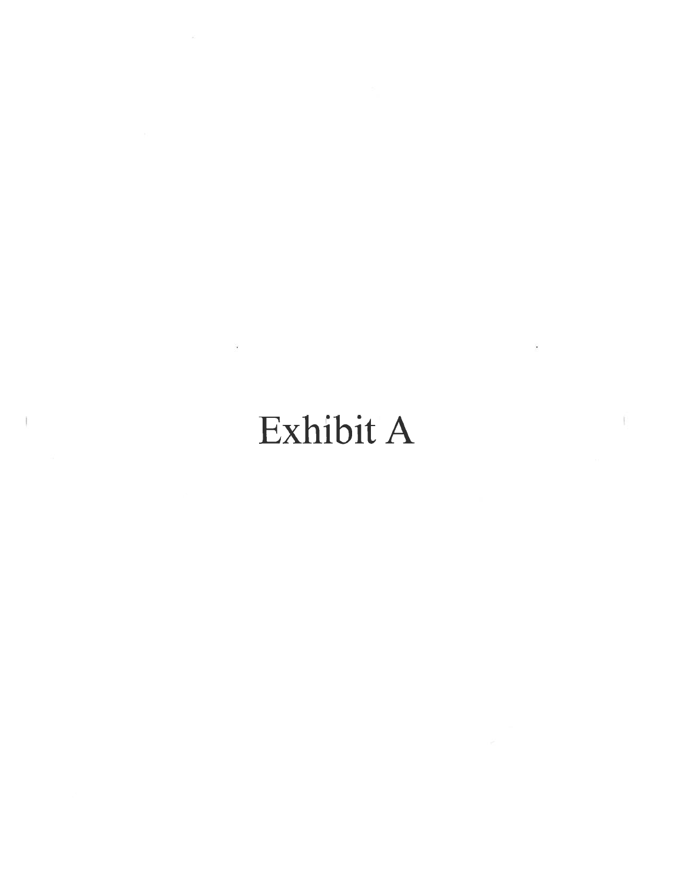# Exhibit A

 $\lambda$ 

 $\hat{\mathbb{R}}$ 

 $\bar{\mathbf{z}}$ 

 $\mathbbm{E}$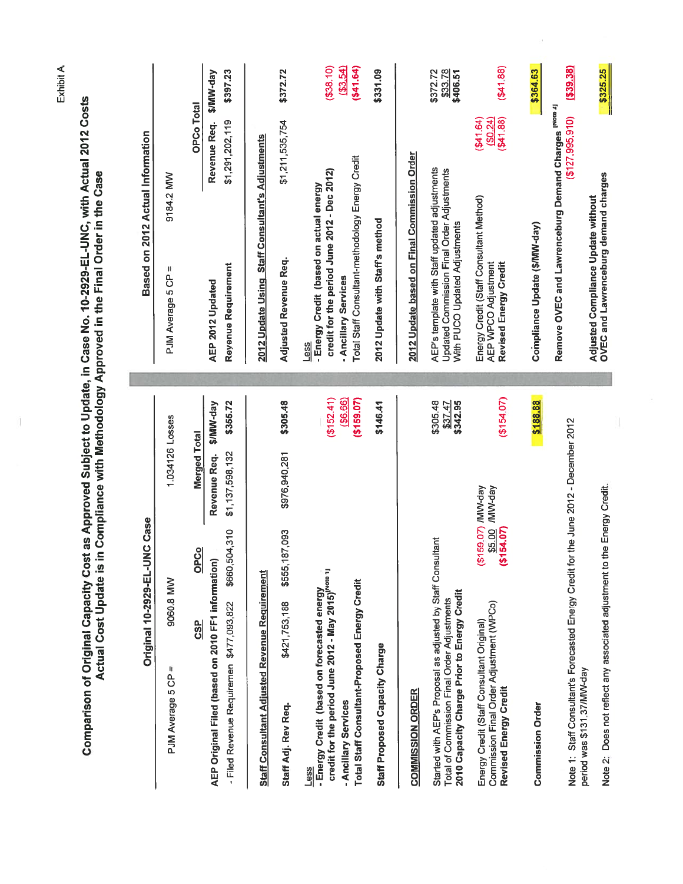| Comparison of Original Capacity Cost as Approved Subject to Update, in Case No. 10-2929-EL-UNC, with Actual 2012 Costs<br><b>Actual Cost Update is</b>                                                                                  | n Compliance with Methodology Approved in the Final Order in the Case                                                                                                                                             |
|-----------------------------------------------------------------------------------------------------------------------------------------------------------------------------------------------------------------------------------------|-------------------------------------------------------------------------------------------------------------------------------------------------------------------------------------------------------------------|
| <b>NC Case</b><br><b>Original 10-2929-EL-U</b>                                                                                                                                                                                          | Based on 2012 Actual Information                                                                                                                                                                                  |
| 1,034126 Losses<br>9060.8 MW<br>п<br>PJM Average 5 CP                                                                                                                                                                                   | 9184.2 MW<br>Ш<br>PJM Average 5 CP                                                                                                                                                                                |
| <b>S/MW-day</b><br><b>Merged Total</b><br>Revenue Req.<br>OPCo<br>AEP Original Filed (based on 2010 FF1 information)<br><b>GSP</b>                                                                                                      | <b>S/MM-day</b><br><b>OPCo Total</b><br>Revenue Req.<br>AEP 2012 Updated                                                                                                                                          |
| \$355.72<br>\$1,137,598,132<br>\$660,504,310<br>- Filed Revenue Requiremen \$477,093,822                                                                                                                                                | \$397.23<br>\$1,291,202,119<br>Reyenue Requirement                                                                                                                                                                |
| Staff Consultant Adjusted Revenue Requirement                                                                                                                                                                                           | 2012 Update Using Staff Consultant's Adjustments                                                                                                                                                                  |
| \$305.48<br>\$976,940,281<br>187,093<br>\$555,1<br>\$421,753,188<br>Staff Adj. Rev Req.                                                                                                                                                 | \$372.72<br>\$1,211,535,754<br>Adjusted Revenue Req.                                                                                                                                                              |
| (\$152.41)<br>(5159.07)<br>( \$6.66)<br>credit for the period June 2012 - May 2015) <sup>[Note 1]</sup><br>Total Staff Consultant-Proposed Energy Credit<br>- Energy Credit (based on forecasted energy<br>- Ancillary Services<br>Less | ( \$3.54)<br>( \$41.64)<br>(538.10)<br>Total Staff Consultant-methodology Energy Credit<br>credit for the period June 2012 - Dec 2012)<br>- Energy Credit (based on actual energy<br>- Ancillary Services<br>Less |
| \$146.41<br>Staff Proposed Capacity Charge                                                                                                                                                                                              | \$331.09<br>2012 Update with Staff's method                                                                                                                                                                       |
| <b>COMMISSION ORDER</b>                                                                                                                                                                                                                 | 2012 Update based on Final Commission Order                                                                                                                                                                       |
| \$305.48<br>\$342.95<br>\$37.47<br>Started with AEP's Proposal as adjusted by Staff Consultant<br>2010 Capacity Charge Prior to Energy Credit<br>Total of Commission Final Order Adjustments                                            | \$33.78<br>\$372.72<br>\$406.51<br>AEP's template with Staff updated adjustments<br>Updated Commission Final Order Adjustments<br>With PUCO Updated Adjustments                                                   |
| (515407)<br>(\$159.07) /MW-day<br>/MW-day<br>\$5.00<br>(5154.07)<br>Commission Final Order Adjustment (WPCo)<br>Energy Credit (Staff Consultant Original)<br>Revised Energy Credit                                                      | ( \$4188)<br>(641.64)<br>$($ \$41.88)<br>(90.24)<br>Energy Credit (Staff Consultant Method)<br>Revised Energy Credit<br>AEP WPCO Adjustment                                                                       |
| \$188.88<br><b>Commission Order</b>                                                                                                                                                                                                     | \$364.63<br>Compliance Update (\$/MW-day)                                                                                                                                                                         |
| Note 1: Staff Consultant's Forecasted Energy Credit for the June 2012 - December 2012                                                                                                                                                   | (339.38)<br>Remove OVEC and Lawrenceburg Demand Charges INORE 21<br>(127, 995, 910)                                                                                                                               |
| Note 2: Does not reflect any associated adjustment to the Energy Credit.<br>period was \$131.37/MW-day                                                                                                                                  | \$325.25<br>OVEC and Lawrenceburg demand charges<br>Adjusted Compliance Update without                                                                                                                            |

II.

Exhibit A

Ù.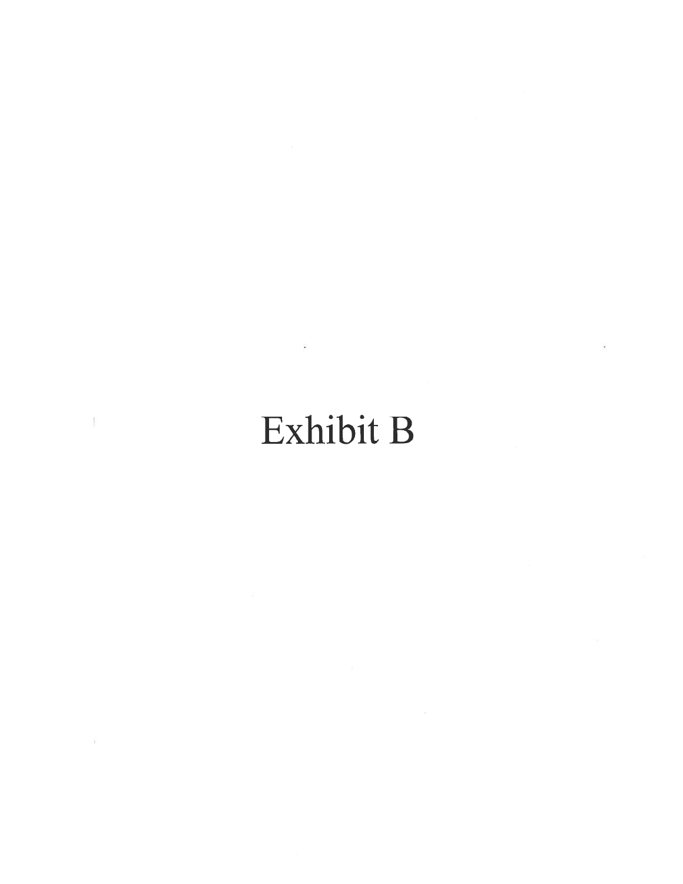# Exhibit B

 $\mathcal{V}$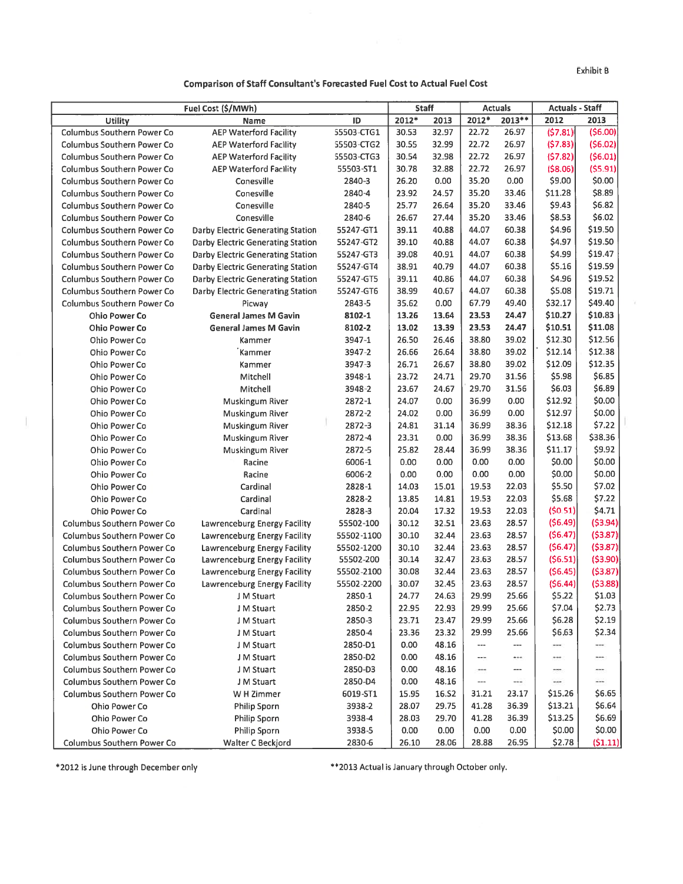Exhibit B

T

**Comparison of Staff Consultant's Forecasted Fuel Cost to Actual Fuel Cost** 

|                                   | Fuel Cost (\$/MWh)                |            |       | <b>Staff</b> |                   | <b>Actuals</b> | <b>Actuals - Staff</b> |          |
|-----------------------------------|-----------------------------------|------------|-------|--------------|-------------------|----------------|------------------------|----------|
| <b>Utility</b>                    | Name                              | ID         | 2012* | 2013         | 2012*             | $2013**$       | 2012                   | 2013     |
| <b>Columbus Southern Power Co</b> | <b>AEP Waterford Facility</b>     | 55503-CTG1 | 30.53 | 32.97        | 22.72             | 26.97          | (57.81)                | (56.00)  |
| <b>Columbus Southern Power Co</b> | <b>AEP Waterford Facility</b>     | 55503-CTG2 | 30.55 | 32.99        | 22.72             | 26.97          | (57.83)                | (56.02)  |
| <b>Columbus Southern Power Co</b> | <b>AEP Waterford Facility</b>     | 55503-CTG3 | 30.54 | 32.98        | 22.72             | 26.97          | (57.82)                | (56.01)  |
| <b>Columbus Southern Power Co</b> | <b>AEP Waterford Facility</b>     | 55503-ST1  | 30.78 | 32.88        | 22.72             | 26.97          | ( \$8.06)              | (55.91)  |
| <b>Columbus Southern Power Co</b> | Conesville                        | 2840-3     | 26.20 | 0.00         | 35.20             | 0.00           | \$9.00                 | \$0.00   |
| <b>Columbus Southern Power Co</b> | Conesville                        | 2840-4     | 23.92 | 24.57        | 35.20             | 33.46          | \$11.28                | \$8.89   |
| <b>Columbus Southern Power Co</b> | Conesville                        | 2840-5     | 25.77 | 26.64        | 35.20             | 33.46          | \$9.43                 | \$6.82   |
| <b>Columbus Southern Power Co</b> | Conesville                        | 2840-6     | 26.67 | 27.44        | 35.20             | 33.46          | \$8.53                 | \$6.02   |
| <b>Columbus Southern Power Co</b> | Darby Electric Generating Station | 55247-GT1  | 39.11 | 40.88        | 44.07             | 60.38          | \$4.96                 | \$19.50  |
| <b>Columbus Southern Power Co</b> | Darby Electric Generating Station | 55247-GT2  | 39.10 | 40.88        | 44.07             | 60.38          | \$4.97                 | \$19.50  |
| <b>Columbus Southern Power Co</b> | Darby Electric Generating Station | 55247-GT3  | 39.08 | 40.91        | 44.07             | 60.38          | \$4.99                 | \$19.47  |
| <b>Columbus Southern Power Co</b> | Darby Electric Generating Station | 55247-GT4  | 38.91 | 40.79        | 44.07             | 60.38          | \$5.16                 | \$19.59  |
| Columbus Southern Power Co        | Darby Electric Generating Station | 55247-GT5  | 39.11 | 40.86        | 44.07             | 60.38          | \$4.96                 | \$19.52  |
| <b>Columbus Southern Power Co</b> | Darby Electric Generating Station | 55247-GT6  | 38.99 | 40.67        | 44.07             | 60.38          | \$5.08                 | \$19.71  |
| <b>Columbus Southern Power Co</b> | Picway                            | 2843-5     | 35.62 | 0.00         | 67.79             | 49.40          | \$32.17                | \$49.40  |
| Ohio Power Co                     | <b>General James M Gavin</b>      | 8102-1     | 13.26 | 13.64        | 23.53             | 24.47          | \$10.27                | \$10.83  |
| <b>Ohio Power Co</b>              | <b>General James M Gavin</b>      | 8102-2     | 13.02 | 13.39        | 23.53             | 24.47          | \$10.51                | \$11.08  |
| Ohio Power Co                     | Kammer                            | 3947-1     | 26.50 | 26.46        | 38.80             | 39.02          | \$12.30                | \$12.56  |
| Ohio Power Co                     | Kammer                            | 3947-2     | 26.66 | 26.64        | 38.80             | 39.02          | \$12.14                | \$12.38  |
| Ohio Power Co                     | Kammer                            | 3947-3     | 26.71 | 26.67        | 38.80             | 39.02          | \$12.09                | \$12.35  |
| Ohio Power Co                     | Mitchell                          | 3948-1     | 23.72 | 24.71        | 29.70             | 31.56          | \$5.98                 | \$6.85   |
| Ohio Power Co                     | Mitchell                          | 3948-2     | 23.67 | 24.67        | 29.70             | 31.56          | \$6.03                 | \$6.89   |
| Ohio Power Co                     | Muskingum River                   | 2872-1     | 24.07 | 0.00         | 36.99             | 0.00           | \$12.92                | \$0.00   |
| Ohio Power Co                     | Muskingum River                   | 2872-2     | 24.02 | 0.00         | 36.99             | 0.00           | \$12.97                | \$0.00   |
| Ohio Power Co                     | Muskingum River                   | 2872-3     | 24.81 | 31.14        | 36.99             | 38.36          | \$12.18                | \$7.22   |
| Ohio Power Co                     | Muskingum River                   | 2872-4     | 23.31 | 0.00         | 36.99             | 38.36          | \$13.68                | \$38.36  |
| Ohio Power Co                     | Muskingum River                   | 2872-5     | 25.82 | 28.44        | 36.99             | 38.36          | \$11.17                | \$9.92   |
| Ohio Power Co                     | Racine                            | 6006-1     | 0.00  | 0.00         | 0.00              | 0.00           | \$0.00                 | \$0.00   |
| Ohio Power Co                     | Racine                            | 6006-2     | 0.00  | 0.00         | 0.00              | 0.00           | \$0.00                 | \$0.00   |
| Ohio Power Co                     | Cardinal                          | 2828-1     | 14.03 | 15.01        | 19.53             | 22.03          | \$5.50                 | \$7.02   |
| Ohio Power Co                     | Cardinal                          | 2828-2     | 13.85 | 14.81        | 19.53             | 22.03          | \$5.68                 | \$7.22   |
| Ohio Power Co                     | Cardinal                          | 2828-3     | 20.04 | 17.32        | 19.53             | 22.03          | (50.51)                | \$4.71   |
| Columbus Southern Power Co        | Lawrenceburg Energy Facility      | 55502-100  | 30.12 | 32.51        | 23.63             | 28.57          | (56.49)                | (53.94)  |
| <b>Columbus Southern Power Co</b> | Lawrenceburg Energy Facility      | 55502-1100 | 30.10 | 32.44        | 23.63             | 28.57          | (56.47)                | (53.87)  |
| <b>Columbus Southern Power Co</b> | Lawrenceburg Energy Facility      | 55502-1200 | 30.10 | 32.44        | 23.63             | 28.57          | (56.47)                | (53.87)  |
| <b>Columbus Southern Power Co</b> | Lawrenceburg Energy Facility      | 55502-200  | 30.14 | 32.47        | 23.63             | 28.57          | (56.51)                | (53.90)  |
| <b>Columbus Southern Power Co</b> | Lawrenceburg Energy Facility      | 55502-2100 | 30.08 | 32.44        | 23.63             | 28.57          | (56.45)                | (53.87)  |
| <b>Columbus Southern Power Co</b> | Lawrenceburg Energy Facility      | 55502-2200 | 30.07 | 32.45        | 23.63             | 28.57          | (56.44)                | (53.88)  |
| <b>Columbus Southern Power Co</b> | J M Stuart                        | 2850-1     | 24.77 | 24.63        | 29.99             | 25.66          | \$5.22                 | \$1.03   |
| <b>Columbus Southern Power Co</b> | J M Stuart                        | 2850-2     | 22.95 | 22.93        | 29.99             | 25.66          | \$7.04                 | \$2.73   |
| <b>Columbus Southern Power Co</b> | J M Stuart                        | 2850-3     | 23.71 | 23.47        | 29.99             | 25.66          | \$6.28                 | \$2.19   |
| <b>Columbus Southern Power Co</b> | J M Stuart                        | 2850-4     | 23.36 | 23.32        | 29.99             | 25.66          | \$6.63                 | \$2.34   |
| <b>Columbus Southern Power Co</b> | J M Stuart                        | 2850-D1    | 0.00  | 48.16        | $\qquad \qquad -$ | ---            | $\cdots$               | $\cdots$ |
| <b>Columbus Southern Power Co</b> | J M Stuart                        | 2850-D2    | 0.00  | 48.16        | ---               | $-$            | ***                    | men      |
| <b>Columbus Southern Power Co</b> | J M Stuart                        | 2850-D3    | 0.00  | 48.16        | $\cdots$          | ---            | <b>STO</b>             | -        |
| Columbus Southern Power Co        | J M Stuart                        | 2850-D4    | 0.00  | 48.16        | ---               | $-$            | $-$                    |          |
| <b>Columbus Southern Power Co</b> | W H Zimmer                        | 6019-ST1   | 15.95 | 16.52        | 31.21             | 23.17          | \$15.26                | \$6.65   |
| Ohio Power Co                     | <b>Philip Sporn</b>               | 3938-2     | 28.07 | 29.75        | 41.28             | 36.39          | \$13.21                | \$6.64   |
| Ohio Power Co                     | Philip Sporn                      | 3938-4     | 28.03 | 29.70        | 41.28             | 36.39          | \$13.25                | \$6.69   |
| Ohio Power Co                     | Philip Sporn                      | 3938-5     | 0.00  | 0.00         | 0.00              | 0.00           | \$0.00                 | \$0.00   |
| Columbus Southern Power Co        | Walter C Beckjord                 | 2830-6     | 26.10 | 28.06        | 28.88             | 26.95          | \$2.78                 | (51.11)  |

\*2012 is June through December only

T.

\*\* 2013 Actual is January through October only.